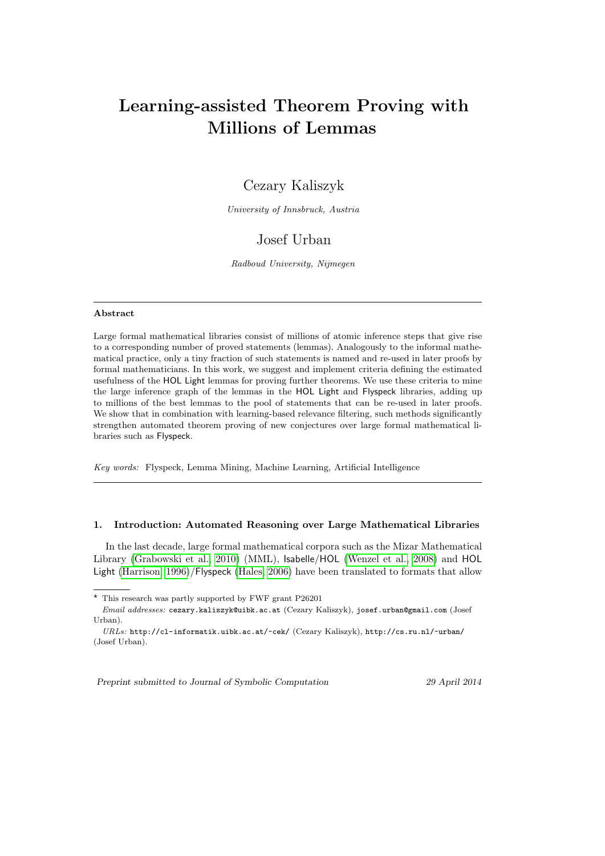# Learning-assisted Theorem Proving with Millions of Lemmas

## Cezary Kaliszyk

University of Innsbruck, Austria

## Josef Urban

Radboud University, Nijmegen

## Abstract

Large formal mathematical libraries consist of millions of atomic inference steps that give rise to a corresponding number of proved statements (lemmas). Analogously to the informal mathematical practice, only a tiny fraction of such statements is named and re-used in later proofs by formal mathematicians. In this work, we suggest and implement criteria defining the estimated usefulness of the HOL Light lemmas for proving further theorems. We use these criteria to mine the large inference graph of the lemmas in the HOL Light and Flyspeck libraries, adding up to millions of the best lemmas to the pool of statements that can be re-used in later proofs. We show that in combination with learning-based relevance filtering, such methods significantly strengthen automated theorem proving of new conjectures over large formal mathematical libraries such as Flyspeck.

Key words: Flyspeck, Lemma Mining, Machine Learning, Artificial Intelligence

## 1. Introduction: Automated Reasoning over Large Mathematical Libraries

In the last decade, large formal mathematical corpora such as the Mizar Mathematical Library [\(Grabowski et al., 2010\)](#page-22-0) (MML), Isabelle/HOL [\(Wenzel et al., 2008\)](#page-24-0) and HOL Light [\(Harrison, 1996\)](#page-22-1)/Flyspeck [\(Hales, 2006\)](#page-22-2) have been translated to formats that allow

Preprint submitted to Journal of Symbolic Computation 29 April 2014

 $^\star$  This research was partly supported by FWF grant P26201

Email addresses: cezary.kaliszyk@uibk.ac.at (Cezary Kaliszyk), josef.urban@gmail.com (Josef Urban).

URLs: http://cl-informatik.uibk.ac.at/~cek/ (Cezary Kaliszyk), http://cs.ru.nl/~urban/ (Josef Urban).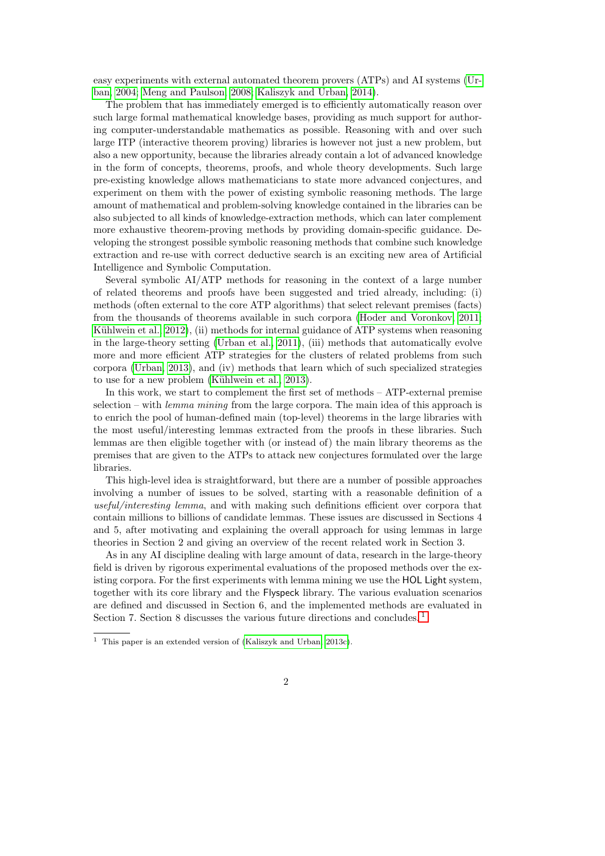easy experiments with external automated theorem provers (ATPs) and AI systems [\(Ur](#page-23-0)[ban, 2004;](#page-23-0) [Meng and Paulson, 2008;](#page-23-1) [Kaliszyk and Urban, 2014\)](#page-22-3).

The problem that has immediately emerged is to efficiently automatically reason over such large formal mathematical knowledge bases, providing as much support for authoring computer-understandable mathematics as possible. Reasoning with and over such large ITP (interactive theorem proving) libraries is however not just a new problem, but also a new opportunity, because the libraries already contain a lot of advanced knowledge in the form of concepts, theorems, proofs, and whole theory developments. Such large pre-existing knowledge allows mathematicians to state more advanced conjectures, and experiment on them with the power of existing symbolic reasoning methods. The large amount of mathematical and problem-solving knowledge contained in the libraries can be also subjected to all kinds of knowledge-extraction methods, which can later complement more exhaustive theorem-proving methods by providing domain-specific guidance. Developing the strongest possible symbolic reasoning methods that combine such knowledge extraction and re-use with correct deductive search is an exciting new area of Artificial Intelligence and Symbolic Computation.

Several symbolic AI/ATP methods for reasoning in the context of a large number of related theorems and proofs have been suggested and tried already, including: (i) methods (often external to the core ATP algorithms) that select relevant premises (facts) from the thousands of theorems available in such corpora [\(Hoder and Voronkov, 2011;](#page-22-4) Kühlwein et al.,  $2012$ ), (ii) methods for internal guidance of ATP systems when reasoning in the large-theory setting [\(Urban et al., 2011\)](#page-24-1), (iii) methods that automatically evolve more and more efficient ATP strategies for the clusters of related problems from such corpora [\(Urban, 2013\)](#page-23-3), and (iv) methods that learn which of such specialized strategies to use for a new problem (Kühlwein et al., 2013).

In this work, we start to complement the first set of methods – ATP-external premise selection – with *lemma mining* from the large corpora. The main idea of this approach is to enrich the pool of human-defined main (top-level) theorems in the large libraries with the most useful/interesting lemmas extracted from the proofs in these libraries. Such lemmas are then eligible together with (or instead of) the main library theorems as the premises that are given to the ATPs to attack new conjectures formulated over the large libraries.

This high-level idea is straightforward, but there are a number of possible approaches involving a number of issues to be solved, starting with a reasonable definition of a useful/interesting lemma, and with making such definitions efficient over corpora that contain millions to billions of candidate lemmas. These issues are discussed in Sections 4 and 5, after motivating and explaining the overall approach for using lemmas in large theories in Section 2 and giving an overview of the recent related work in Section 3.

As in any AI discipline dealing with large amount of data, research in the large-theory field is driven by rigorous experimental evaluations of the proposed methods over the existing corpora. For the first experiments with lemma mining we use the HOL Light system, together with its core library and the Flyspeck library. The various evaluation scenarios are defined and discussed in Section 6, and the implemented methods are evaluated in Section 7. Section 8 discusses the various future directions and concludes.<sup>[1](#page-1-0)</sup>

<span id="page-1-0"></span><sup>1</sup> This paper is an extended version of [\(Kaliszyk and Urban, 2013c\)](#page-22-5).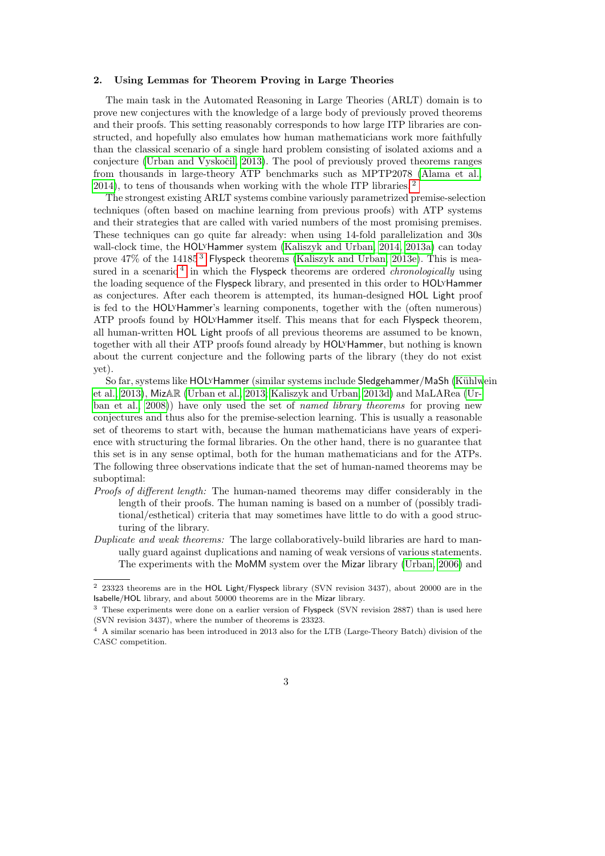#### 2. Using Lemmas for Theorem Proving in Large Theories

The main task in the Automated Reasoning in Large Theories (ARLT) domain is to prove new conjectures with the knowledge of a large body of previously proved theorems and their proofs. This setting reasonably corresponds to how large ITP libraries are constructed, and hopefully also emulates how human mathematicians work more faithfully than the classical scenario of a single hard problem consisting of isolated axioms and a conjecture (Urban and Vyskočil, 2013). The pool of previously proved theorems ranges from thousands in large-theory ATP benchmarks such as MPTP2078 [\(Alama et al.,](#page-22-6) [2014\)](#page-22-6), to tens of thousands when working with the whole ITP libraries. [2](#page-2-0)

The strongest existing ARLT systems combine variously parametrized premise-selection techniques (often based on machine learning from previous proofs) with ATP systems and their strategies that are called with varied numbers of the most promising premises. These techniques can go quite far already: when using 14-fold parallelization and 30s wall-clock time, the HOLyHammer system [\(Kaliszyk and Urban, 2014,](#page-22-3) [2013a\)](#page-22-7) can today prove 47% of the 14185<sup>[3](#page-2-1)</sup> Flyspeck theorems [\(Kaliszyk and Urban, 2013e\)](#page-22-8). This is mea-sured in a scenario<sup>[4](#page-2-2)</sup> in which the Flyspeck theorems are ordered *chronologically* using the loading sequence of the Flyspeck library, and presented in this order to HOLYHammer as conjectures. After each theorem is attempted, its human-designed HOL Light proof is fed to the HOLyHammer's learning components, together with the (often numerous) ATP proofs found by HOLyHammer itself. This means that for each Flyspeck theorem, all human-written HOL Light proofs of all previous theorems are assumed to be known, together with all their ATP proofs found already by HOLyHammer, but nothing is known about the current conjecture and the following parts of the library (they do not exist yet).

So far, systems like HOL<sup>y</sup>Hammer (similar systems include Sledgehammer/MaSh (Kühlwein [et al., 2013\)](#page-23-6), MizAR [\(Urban et al., 2013;](#page-23-7) [Kaliszyk and Urban, 2013d\)](#page-22-9) and MaLARea [\(Ur](#page-23-8)[ban et al., 2008\)](#page-23-8)) have only used the set of named library theorems for proving new conjectures and thus also for the premise-selection learning. This is usually a reasonable set of theorems to start with, because the human mathematicians have years of experience with structuring the formal libraries. On the other hand, there is no guarantee that this set is in any sense optimal, both for the human mathematicians and for the ATPs. The following three observations indicate that the set of human-named theorems may be suboptimal:

- Proofs of different length: The human-named theorems may differ considerably in the length of their proofs. The human naming is based on a number of (possibly traditional/esthetical) criteria that may sometimes have little to do with a good structuring of the library.
- Duplicate and weak theorems: The large collaboratively-build libraries are hard to manually guard against duplications and naming of weak versions of various statements. The experiments with the MoMM system over the Mizar library [\(Urban, 2006\)](#page-23-9) and

<span id="page-2-0"></span><sup>&</sup>lt;sup>2</sup> 23323 theorems are in the HOL Light/Flyspeck library (SVN revision 3437), about 20000 are in the Isabelle/HOL library, and about 50000 theorems are in the Mizar library.

<span id="page-2-1"></span><sup>3</sup> These experiments were done on a earlier version of Flyspeck (SVN revision 2887) than is used here (SVN revision 3437), where the number of theorems is 23323.

<span id="page-2-2"></span><sup>4</sup> A similar scenario has been introduced in 2013 also for the LTB (Large-Theory Batch) division of the CASC competition.

<sup>3</sup>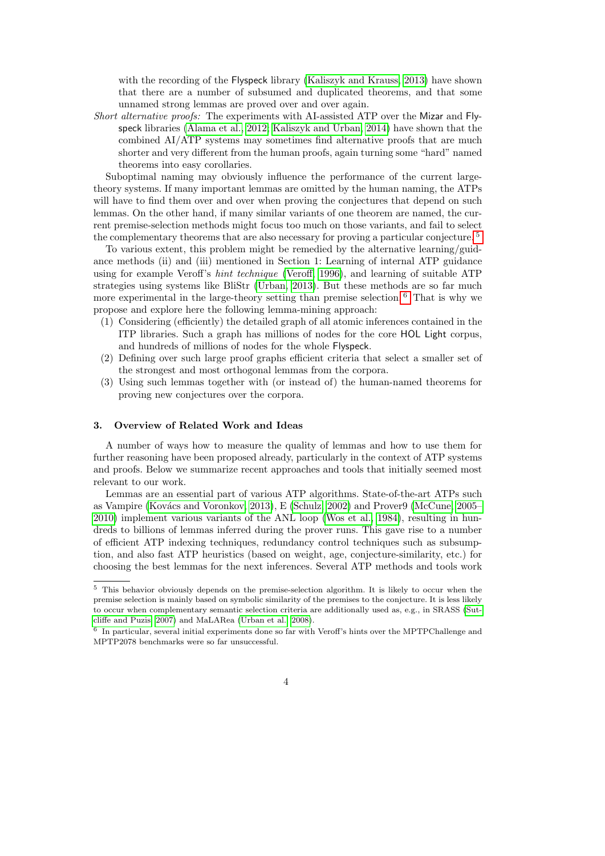with the recording of the Flyspeck library [\(Kaliszyk and Krauss, 2013\)](#page-22-10) have shown that there are a number of subsumed and duplicated theorems, and that some unnamed strong lemmas are proved over and over again.

Short alternative proofs: The experiments with AI-assisted ATP over the Mizar and Flyspeck libraries [\(Alama et al., 2012;](#page-22-11) [Kaliszyk and Urban, 2014\)](#page-22-3) have shown that the combined AI/ATP systems may sometimes find alternative proofs that are much shorter and very different from the human proofs, again turning some "hard" named theorems into easy corollaries.

Suboptimal naming may obviously influence the performance of the current largetheory systems. If many important lemmas are omitted by the human naming, the ATPs will have to find them over and over when proving the conjectures that depend on such lemmas. On the other hand, if many similar variants of one theorem are named, the current premise-selection methods might focus too much on those variants, and fail to select the complementary theorems that are also necessary for proving a particular conjecture. [5](#page-3-0)

To various extent, this problem might be remedied by the alternative learning/guidance methods (ii) and (iii) mentioned in Section 1: Learning of internal ATP guidance using for example Veroff's hint technique [\(Veroff, 1996\)](#page-24-2), and learning of suitable ATP strategies using systems like BliStr [\(Urban, 2013\)](#page-23-3). But these methods are so far much more experimental in the large-theory setting than premise selection. <sup>[6](#page-3-1)</sup> That is why we propose and explore here the following lemma-mining approach:

- (1) Considering (efficiently) the detailed graph of all atomic inferences contained in the ITP libraries. Such a graph has millions of nodes for the core HOL Light corpus, and hundreds of millions of nodes for the whole Flyspeck.
- (2) Defining over such large proof graphs efficient criteria that select a smaller set of the strongest and most orthogonal lemmas from the corpora.
- (3) Using such lemmas together with (or instead of) the human-named theorems for proving new conjectures over the corpora.

#### 3. Overview of Related Work and Ideas

A number of ways how to measure the quality of lemmas and how to use them for further reasoning have been proposed already, particularly in the context of ATP systems and proofs. Below we summarize recent approaches and tools that initially seemed most relevant to our work.

Lemmas are an essential part of various ATP algorithms. State-of-the-art ATPs such as Vampire (Kovács and Voronkov, 2013), E [\(Schulz, 2002\)](#page-23-11) and Prover9 [\(McCune, 2005–](#page-23-12) [2010\)](#page-23-12) implement various variants of the ANL loop [\(Wos et al., 1984\)](#page-24-3), resulting in hundreds to billions of lemmas inferred during the prover runs. This gave rise to a number of efficient ATP indexing techniques, redundancy control techniques such as subsumption, and also fast ATP heuristics (based on weight, age, conjecture-similarity, etc.) for choosing the best lemmas for the next inferences. Several ATP methods and tools work

<span id="page-3-0"></span><sup>5</sup> This behavior obviously depends on the premise-selection algorithm. It is likely to occur when the premise selection is mainly based on symbolic similarity of the premises to the conjecture. It is less likely to occur when complementary semantic selection criteria are additionally used as, e.g., in SRASS [\(Sut](#page-23-13)[cliffe and Puzis, 2007\)](#page-23-13) and MaLARea [\(Urban et al., 2008\)](#page-23-8).

<span id="page-3-1"></span><sup>6</sup> In particular, several initial experiments done so far with Veroff's hints over the MPTPChallenge and MPTP2078 benchmarks were so far unsuccessful.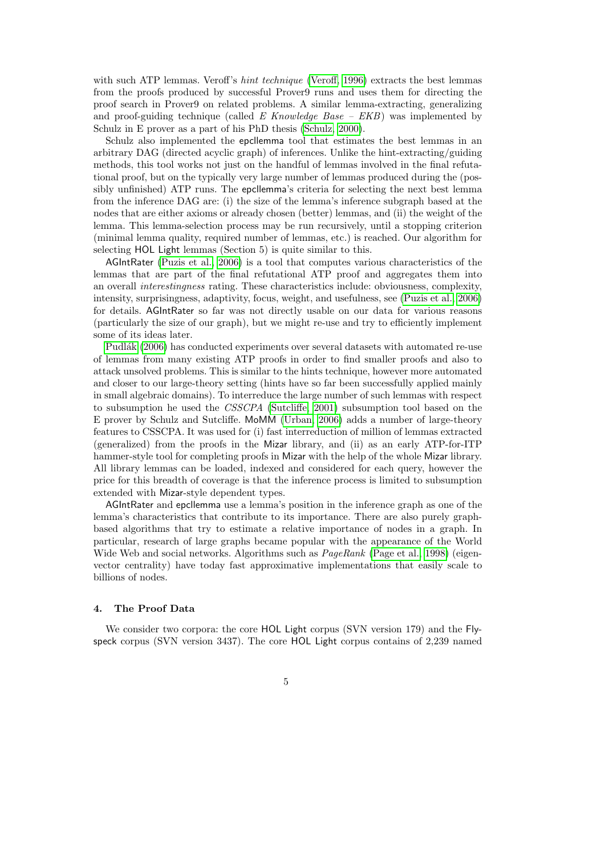with such ATP lemmas. Veroff's *hint technique* [\(Veroff, 1996\)](#page-24-2) extracts the best lemmas from the proofs produced by successful Prover9 runs and uses them for directing the proof search in Prover9 on related problems. A similar lemma-extracting, generalizing and proof-guiding technique (called E Knowledge Base –  $EKB$ ) was implemented by Schulz in E prover as a part of his PhD thesis [\(Schulz, 2000\)](#page-23-14).

Schulz also implemented the epcllemma tool that estimates the best lemmas in an arbitrary DAG (directed acyclic graph) of inferences. Unlike the hint-extracting/guiding methods, this tool works not just on the handful of lemmas involved in the final refutational proof, but on the typically very large number of lemmas produced during the (possibly unfinished) ATP runs. The epcllemma's criteria for selecting the next best lemma from the inference DAG are: (i) the size of the lemma's inference subgraph based at the nodes that are either axioms or already chosen (better) lemmas, and (ii) the weight of the lemma. This lemma-selection process may be run recursively, until a stopping criterion (minimal lemma quality, required number of lemmas, etc.) is reached. Our algorithm for selecting HOL Light lemmas (Section 5) is quite similar to this.

AGIntRater [\(Puzis et al., 2006\)](#page-23-15) is a tool that computes various characteristics of the lemmas that are part of the final refutational ATP proof and aggregates them into an overall interestingness rating. These characteristics include: obviousness, complexity, intensity, surprisingness, adaptivity, focus, weight, and usefulness, see [\(Puzis et al., 2006\)](#page-23-15) for details. AGIntRater so far was not directly usable on our data for various reasons (particularly the size of our graph), but we might re-use and try to efficiently implement some of its ideas later.

Pudlák [\(2006\)](#page-23-16) has conducted experiments over several datasets with automated re-use of lemmas from many existing ATP proofs in order to find smaller proofs and also to attack unsolved problems. This is similar to the hints technique, however more automated and closer to our large-theory setting (hints have so far been successfully applied mainly in small algebraic domains). To interreduce the large number of such lemmas with respect to subsumption he used the CSSCPA [\(Sutcliffe, 2001\)](#page-23-17) subsumption tool based on the E prover by Schulz and Sutcliffe. MoMM [\(Urban, 2006\)](#page-23-9) adds a number of large-theory features to CSSCPA. It was used for (i) fast interreduction of million of lemmas extracted (generalized) from the proofs in the Mizar library, and (ii) as an early ATP-for-ITP hammer-style tool for completing proofs in Mizar with the help of the whole Mizar library. All library lemmas can be loaded, indexed and considered for each query, however the price for this breadth of coverage is that the inference process is limited to subsumption extended with Mizar-style dependent types.

AGIntRater and epcllemma use a lemma's position in the inference graph as one of the lemma's characteristics that contribute to its importance. There are also purely graphbased algorithms that try to estimate a relative importance of nodes in a graph. In particular, research of large graphs became popular with the appearance of the World Wide Web and social networks. Algorithms such as  $PaqeRank$  [\(Page et al., 1998\)](#page-23-18) (eigenvector centrality) have today fast approximative implementations that easily scale to billions of nodes.

## 4. The Proof Data

We consider two corpora: the core HOL Light corpus (SVN version 179) and the Flyspeck corpus (SVN version 3437). The core HOL Light corpus contains of 2,239 named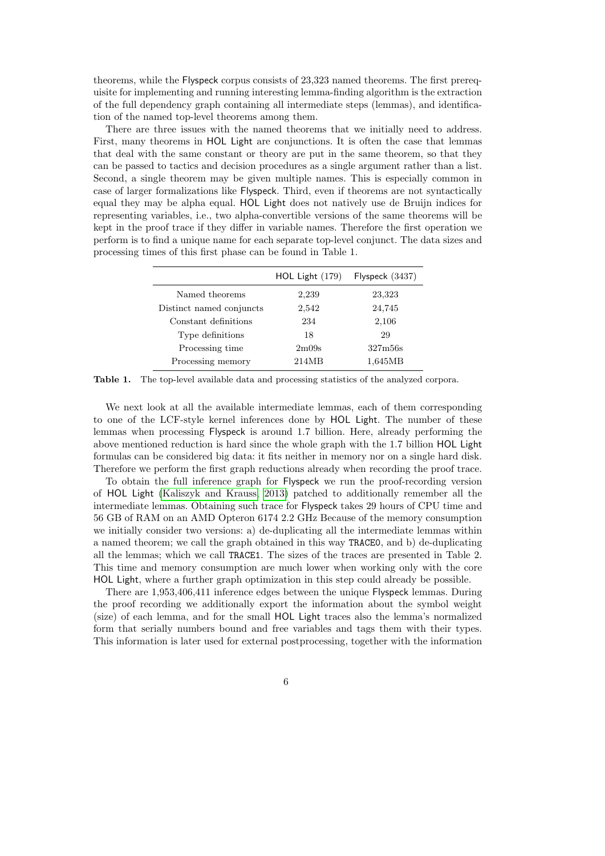theorems, while the Flyspeck corpus consists of 23,323 named theorems. The first prerequisite for implementing and running interesting lemma-finding algorithm is the extraction of the full dependency graph containing all intermediate steps (lemmas), and identification of the named top-level theorems among them.

There are three issues with the named theorems that we initially need to address. First, many theorems in HOL Light are conjunctions. It is often the case that lemmas that deal with the same constant or theory are put in the same theorem, so that they can be passed to tactics and decision procedures as a single argument rather than a list. Second, a single theorem may be given multiple names. This is especially common in case of larger formalizations like Flyspeck. Third, even if theorems are not syntactically equal they may be alpha equal. HOL Light does not natively use de Bruijn indices for representing variables, i.e., two alpha-convertible versions of the same theorems will be kept in the proof trace if they differ in variable names. Therefore the first operation we perform is to find a unique name for each separate top-level conjunct. The data sizes and processing times of this first phase can be found in Table 1.

|                          | HOL Light $(179)$ | Flyspeck $(3437)$ |
|--------------------------|-------------------|-------------------|
| Named theorems           | 2,239             | 23,323            |
| Distinct named conjuncts | 2,542             | 24,745            |
| Constant definitions     | 234               | 2,106             |
| Type definitions         | 18                | 29                |
| Processing time          | 2m09s             | 327m56s           |
| Processing memory        | 214MB             | 1,645MB           |

Table 1. The top-level available data and processing statistics of the analyzed corpora.

We next look at all the available intermediate lemmas, each of them corresponding to one of the LCF-style kernel inferences done by HOL Light. The number of these lemmas when processing Flyspeck is around 1.7 billion. Here, already performing the above mentioned reduction is hard since the whole graph with the 1.7 billion HOL Light formulas can be considered big data: it fits neither in memory nor on a single hard disk. Therefore we perform the first graph reductions already when recording the proof trace.

To obtain the full inference graph for Flyspeck we run the proof-recording version of HOL Light [\(Kaliszyk and Krauss, 2013\)](#page-22-10) patched to additionally remember all the intermediate lemmas. Obtaining such trace for Flyspeck takes 29 hours of CPU time and 56 GB of RAM on an AMD Opteron 6174 2.2 GHz Because of the memory consumption we initially consider two versions: a) de-duplicating all the intermediate lemmas within a named theorem; we call the graph obtained in this way TRACE0, and b) de-duplicating all the lemmas; which we call TRACE1. The sizes of the traces are presented in Table 2. This time and memory consumption are much lower when working only with the core HOL Light, where a further graph optimization in this step could already be possible.

There are 1,953,406,411 inference edges between the unique Flyspeck lemmas. During the proof recording we additionally export the information about the symbol weight (size) of each lemma, and for the small HOL Light traces also the lemma's normalized form that serially numbers bound and free variables and tags them with their types. This information is later used for external postprocessing, together with the information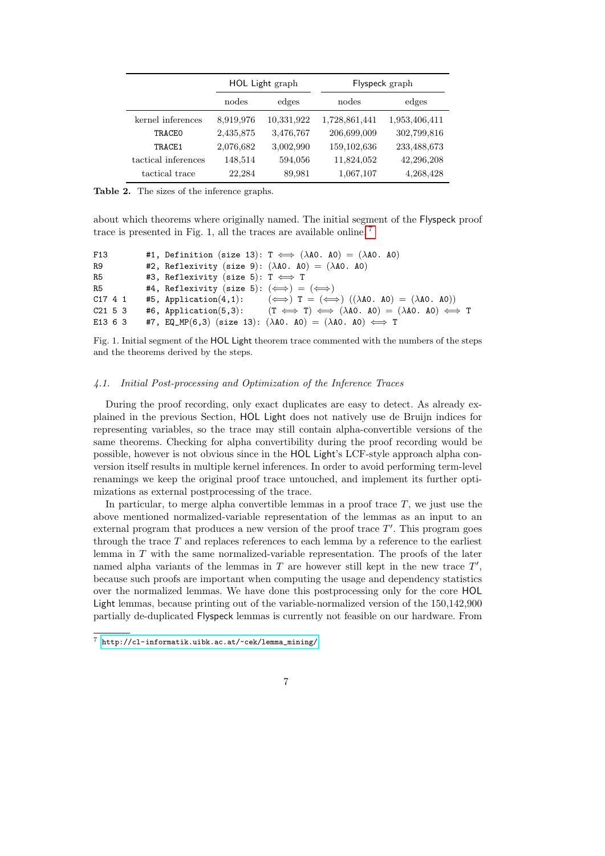|                     |           | HOL Light graph |               | Flyspeck graph |
|---------------------|-----------|-----------------|---------------|----------------|
|                     | nodes     | edges           | nodes         | edges          |
| kernel inferences   | 8,919,976 | 10,331,922      | 1,728,861,441 | 1,953,406,411  |
| TRACEO              | 2,435,875 | 3,476,767       | 206,699,009   | 302,799,816    |
| TRACE1              | 2,076,682 | 3,002,990       | 159, 102, 636 | 233,488,673    |
| tactical inferences | 148,514   | 594,056         | 11,824,052    | 42,296,208     |
| tactical trace      | 22,284    | 89,981          | 1,067,107     | 4,268,428      |

Table 2. The sizes of the inference graphs.

about which theorems where originally named. The initial segment of the Flyspeck proof trace is presented in Fig. 1, all the traces are available online. [7](#page-6-0)

```
F13 #1, Definition (size 13): T \iff (\lambda A0, A0) = (\lambda A0, A0)R9 #2, Reflexivity (size 9): (\lambdaA0. A0) = (\lambdaA0. A0)
R5 #3, Reflexivity (size 5): T \iff TR5 #4, Reflexivity (size 5): (\iff) = (\iff)C17 4 1 #5, Application(4,1): (\iff) T = (\iff) ((\lambdaA0. A0) = (\lambdaA0. A0))
C21 5 3 #6, Application(5,3): (T \iff T) \iff (\lambda A0. A0) = (\lambda A0. A0) \iff TE13 6 3 #7, EQ_MP(6,3) (size 13): (\lambda A0. A0) = (\lambda A0. A0) \iff T
```
Fig. 1. Initial segment of the HOL Light theorem trace commented with the numbers of the steps and the theorems derived by the steps.

## 4.1. Initial Post-processing and Optimization of the Inference Traces

During the proof recording, only exact duplicates are easy to detect. As already explained in the previous Section, HOL Light does not natively use de Bruijn indices for representing variables, so the trace may still contain alpha-convertible versions of the same theorems. Checking for alpha convertibility during the proof recording would be possible, however is not obvious since in the HOL Light's LCF-style approach alpha conversion itself results in multiple kernel inferences. In order to avoid performing term-level renamings we keep the original proof trace untouched, and implement its further optimizations as external postprocessing of the trace.

In particular, to merge alpha convertible lemmas in a proof trace  $T$ , we just use the above mentioned normalized-variable representation of the lemmas as an input to an external program that produces a new version of the proof trace  $T'$ . This program goes through the trace T and replaces references to each lemma by a reference to the earliest lemma in  $T$  with the same normalized-variable representation. The proofs of the later named alpha variants of the lemmas in  $T$  are however still kept in the new trace  $T'$ , because such proofs are important when computing the usage and dependency statistics over the normalized lemmas. We have done this postprocessing only for the core HOL Light lemmas, because printing out of the variable-normalized version of the 150,142,900 partially de-duplicated Flyspeck lemmas is currently not feasible on our hardware. From

<span id="page-6-0"></span><sup>7</sup> [http://cl-informatik.uibk.ac.at/~cek/lemma\\_mining/](http://cl-informatik.uibk.ac.at/~cek/lemma_mining/)

<sup>7</sup>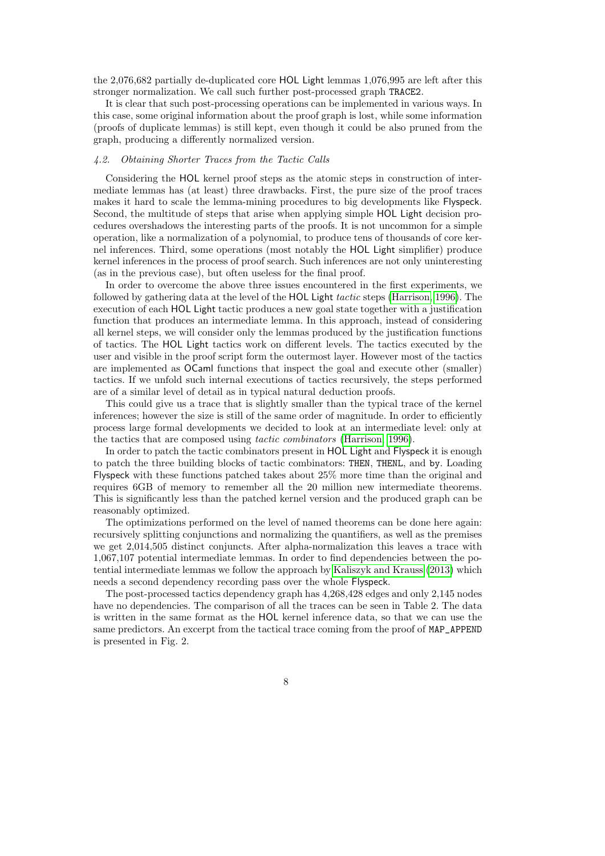the 2,076,682 partially de-duplicated core HOL Light lemmas 1,076,995 are left after this stronger normalization. We call such further post-processed graph TRACE2.

It is clear that such post-processing operations can be implemented in various ways. In this case, some original information about the proof graph is lost, while some information (proofs of duplicate lemmas) is still kept, even though it could be also pruned from the graph, producing a differently normalized version.

### 4.2. Obtaining Shorter Traces from the Tactic Calls

Considering the HOL kernel proof steps as the atomic steps in construction of intermediate lemmas has (at least) three drawbacks. First, the pure size of the proof traces makes it hard to scale the lemma-mining procedures to big developments like Flyspeck. Second, the multitude of steps that arise when applying simple HOL Light decision procedures overshadows the interesting parts of the proofs. It is not uncommon for a simple operation, like a normalization of a polynomial, to produce tens of thousands of core kernel inferences. Third, some operations (most notably the HOL Light simplifier) produce kernel inferences in the process of proof search. Such inferences are not only uninteresting (as in the previous case), but often useless for the final proof.

In order to overcome the above three issues encountered in the first experiments, we followed by gathering data at the level of the HOL Light tactic steps [\(Harrison, 1996\)](#page-22-1). The execution of each HOL Light tactic produces a new goal state together with a justification function that produces an intermediate lemma. In this approach, instead of considering all kernel steps, we will consider only the lemmas produced by the justification functions of tactics. The HOL Light tactics work on different levels. The tactics executed by the user and visible in the proof script form the outermost layer. However most of the tactics are implemented as OCaml functions that inspect the goal and execute other (smaller) tactics. If we unfold such internal executions of tactics recursively, the steps performed are of a similar level of detail as in typical natural deduction proofs.

This could give us a trace that is slightly smaller than the typical trace of the kernel inferences; however the size is still of the same order of magnitude. In order to efficiently process large formal developments we decided to look at an intermediate level: only at the tactics that are composed using tactic combinators [\(Harrison, 1996\)](#page-22-1).

In order to patch the tactic combinators present in HOL Light and Flyspeck it is enough to patch the three building blocks of tactic combinators: THEN, THENL, and by. Loading Flyspeck with these functions patched takes about 25% more time than the original and requires 6GB of memory to remember all the 20 million new intermediate theorems. This is significantly less than the patched kernel version and the produced graph can be reasonably optimized.

The optimizations performed on the level of named theorems can be done here again: recursively splitting conjunctions and normalizing the quantifiers, as well as the premises we get 2,014,505 distinct conjuncts. After alpha-normalization this leaves a trace with 1,067,107 potential intermediate lemmas. In order to find dependencies between the potential intermediate lemmas we follow the approach by [Kaliszyk and Krauss](#page-22-10) [\(2013\)](#page-22-10) which needs a second dependency recording pass over the whole Flyspeck.

The post-processed tactics dependency graph has 4,268,428 edges and only 2,145 nodes have no dependencies. The comparison of all the traces can be seen in Table 2. The data is written in the same format as the HOL kernel inference data, so that we can use the same predictors. An excerpt from the tactical trace coming from the proof of MAP\_APPEND is presented in Fig. 2.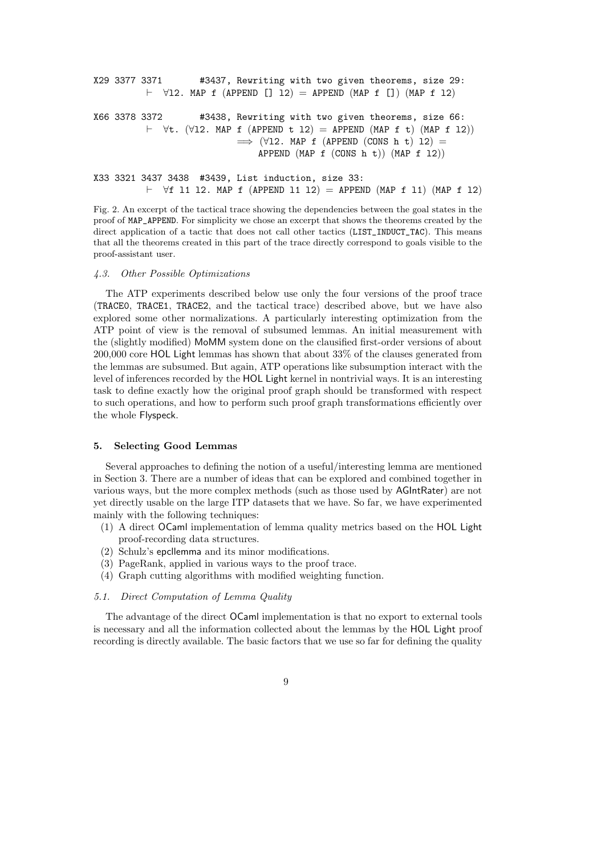```
X29 3377 3371 #3437, Rewriting with two given theorems, size 29:
          \vdash \forall12. MAP f (APPEND [] 12) = APPEND (MAP f []) (MAP f 12)
X66 3378 3372 #3438, Rewriting with two given theorems, size 66:
          \vdash \forallt. (\forall12. MAP f (APPEND t 12) = APPEND (MAP f t) (MAP f 12))
                             \implies (\forall12. MAP f (APPEND (CONS h t) 12) =
                                 APPEND (MAP f (CONS h t)) (MAP f 12))
X33 3321 3437 3438 #3439, List induction, size 33:
```
 $\vdash$   $\forall$ f 11 12. MAP f (APPEND 11 12) = APPEND (MAP f 11) (MAP f 12)

Fig. 2. An excerpt of the tactical trace showing the dependencies between the goal states in the proof of MAP\_APPEND. For simplicity we chose an excerpt that shows the theorems created by the direct application of a tactic that does not call other tactics (LIST\_INDUCT\_TAC). This means that all the theorems created in this part of the trace directly correspond to goals visible to the proof-assistant user.

## 4.3. Other Possible Optimizations

The ATP experiments described below use only the four versions of the proof trace (TRACE0, TRACE1, TRACE2, and the tactical trace) described above, but we have also explored some other normalizations. A particularly interesting optimization from the ATP point of view is the removal of subsumed lemmas. An initial measurement with the (slightly modified) MoMM system done on the clausified first-order versions of about 200,000 core HOL Light lemmas has shown that about 33% of the clauses generated from the lemmas are subsumed. But again, ATP operations like subsumption interact with the level of inferences recorded by the HOL Light kernel in nontrivial ways. It is an interesting task to define exactly how the original proof graph should be transformed with respect to such operations, and how to perform such proof graph transformations efficiently over the whole Flyspeck.

## 5. Selecting Good Lemmas

Several approaches to defining the notion of a useful/interesting lemma are mentioned in Section 3. There are a number of ideas that can be explored and combined together in various ways, but the more complex methods (such as those used by AGIntRater) are not yet directly usable on the large ITP datasets that we have. So far, we have experimented mainly with the following techniques:

- (1) A direct OCaml implementation of lemma quality metrics based on the HOL Light proof-recording data structures.
- (2) Schulz's epcllemma and its minor modifications.
- (3) PageRank, applied in various ways to the proof trace.
- (4) Graph cutting algorithms with modified weighting function.

## 5.1. Direct Computation of Lemma Quality

The advantage of the direct OCaml implementation is that no export to external tools is necessary and all the information collected about the lemmas by the HOL Light proof recording is directly available. The basic factors that we use so far for defining the quality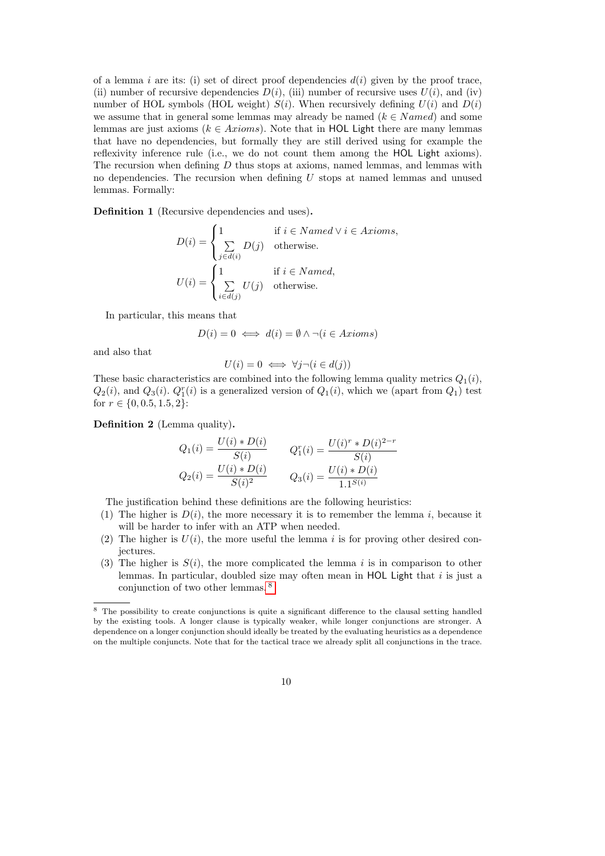of a lemma i are its: (i) set of direct proof dependencies  $d(i)$  given by the proof trace, (ii) number of recursive dependencies  $D(i)$ , (iii) number of recursive uses  $U(i)$ , and (iv) number of HOL symbols (HOL weight)  $S(i)$ . When recursively defining  $U(i)$  and  $D(i)$ we assume that in general some lemmas may already be named  $(k \in Name)$  and some lemmas are just axioms ( $k \in Axioms$ ). Note that in HOL Light there are many lemmas that have no dependencies, but formally they are still derived using for example the reflexivity inference rule (i.e., we do not count them among the HOL Light axioms). The recursion when defining  $D$  thus stops at axioms, named lemmas, and lemmas with no dependencies. The recursion when defining  $U$  stops at named lemmas and unused lemmas. Formally:

Definition 1 (Recursive dependencies and uses).

$$
D(i) = \begin{cases} 1 & \text{if } i \in Named \lor i \in Axioms, \\ \sum_{j \in d(i)} D(j) & \text{otherwise.} \end{cases}
$$

$$
U(i) = \begin{cases} 1 & \text{if } i \in Named, \\ \sum_{i \in d(j)} U(j) & \text{otherwise.} \end{cases}
$$

In particular, this means that

$$
D(i) = 0 \iff d(i) = \emptyset \land \neg (i \in Axioms)
$$

and also that

$$
U(i) = 0 \iff \forall j \neg (i \in d(j))
$$

These basic characteristics are combined into the following lemma quality metrics  $Q_1(i)$ ,  $Q_2(i)$ , and  $Q_3(i)$ .  $Q_1^r(i)$  is a generalized version of  $Q_1(i)$ , which we (apart from  $Q_1$ ) test for  $r \in \{0, 0.5, 1.5, 2\}$ :

Definition 2 (Lemma quality).

$$
Q_1(i) = \frac{U(i) * D(i)}{S(i)} \qquad Q_1^r(i) = \frac{U(i)^r * D(i)^{2-r}}{S(i)}
$$
  

$$
Q_2(i) = \frac{U(i) * D(i)}{S(i)^2} \qquad Q_3(i) = \frac{U(i) * D(i)}{1.1^{S(i)}}
$$

The justification behind these definitions are the following heuristics:

- (1) The higher is  $D(i)$ , the more necessary it is to remember the lemma i, because it will be harder to infer with an ATP when needed.
- (2) The higher is  $U(i)$ , the more useful the lemma i is for proving other desired conjectures.
- (3) The higher is  $S(i)$ , the more complicated the lemma i is in comparison to other lemmas. In particular, doubled size may often mean in HOL Light that  $i$  is just a conjunction of two other lemmas. [8](#page-9-0)

<span id="page-9-0"></span><sup>8</sup> The possibility to create conjunctions is quite a significant difference to the clausal setting handled by the existing tools. A longer clause is typically weaker, while longer conjunctions are stronger. A dependence on a longer conjunction should ideally be treated by the evaluating heuristics as a dependence on the multiple conjuncts. Note that for the tactical trace we already split all conjunctions in the trace.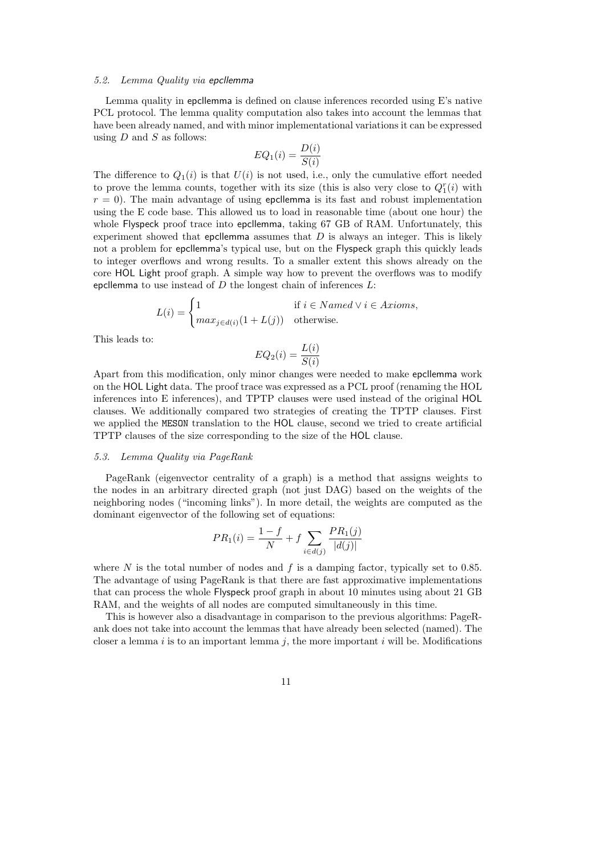#### 5.2. Lemma Quality via epcllemma

Lemma quality in epcllemma is defined on clause inferences recorded using E's native PCL protocol. The lemma quality computation also takes into account the lemmas that have been already named, and with minor implementational variations it can be expressed using  $D$  and  $S$  as follows:

$$
EQ_1(i) = \frac{D(i)}{S(i)}
$$

The difference to  $Q_1(i)$  is that  $U(i)$  is not used, i.e., only the cumulative effort needed to prove the lemma counts, together with its size (this is also very close to  $Q_1^r(i)$  with  $r = 0$ ). The main advantage of using epcllemma is its fast and robust implementation using the E code base. This allowed us to load in reasonable time (about one hour) the whole Flyspeck proof trace into epcllemma, taking 67 GB of RAM. Unfortunately, this experiment showed that epcllemma assumes that  $D$  is always an integer. This is likely not a problem for epcllemma's typical use, but on the Flyspeck graph this quickly leads to integer overflows and wrong results. To a smaller extent this shows already on the core HOL Light proof graph. A simple way how to prevent the overflows was to modify epcllemma to use instead of  $D$  the longest chain of inferences  $L$ :

$$
L(i) = \begin{cases} 1 & \text{if } i \in Named \lor i \in Axi, \\ max_{j \in d(i)}(1 + L(j)) & \text{otherwise.} \end{cases}
$$

This leads to:

$$
EQ_2(i) = \frac{L(i)}{S(i)}
$$

Apart from this modification, only minor changes were needed to make epcllemma work on the HOL Light data. The proof trace was expressed as a PCL proof (renaming the HOL inferences into E inferences), and TPTP clauses were used instead of the original HOL clauses. We additionally compared two strategies of creating the TPTP clauses. First we applied the MESON translation to the HOL clause, second we tried to create artificial TPTP clauses of the size corresponding to the size of the HOL clause.

### 5.3. Lemma Quality via PageRank

PageRank (eigenvector centrality of a graph) is a method that assigns weights to the nodes in an arbitrary directed graph (not just DAG) based on the weights of the neighboring nodes ("incoming links"). In more detail, the weights are computed as the dominant eigenvector of the following set of equations:

$$
PR_1(i) = \frac{1 - f}{N} + f \sum_{i \in d(j)} \frac{PR_1(j)}{|d(j)|}
$$

where N is the total number of nodes and f is a damping factor, typically set to 0.85. The advantage of using PageRank is that there are fast approximative implementations that can process the whole Flyspeck proof graph in about 10 minutes using about 21 GB RAM, and the weights of all nodes are computed simultaneously in this time.

This is however also a disadvantage in comparison to the previous algorithms: PageRank does not take into account the lemmas that have already been selected (named). The closer a lemma i is to an important lemma j, the more important i will be. Modifications

11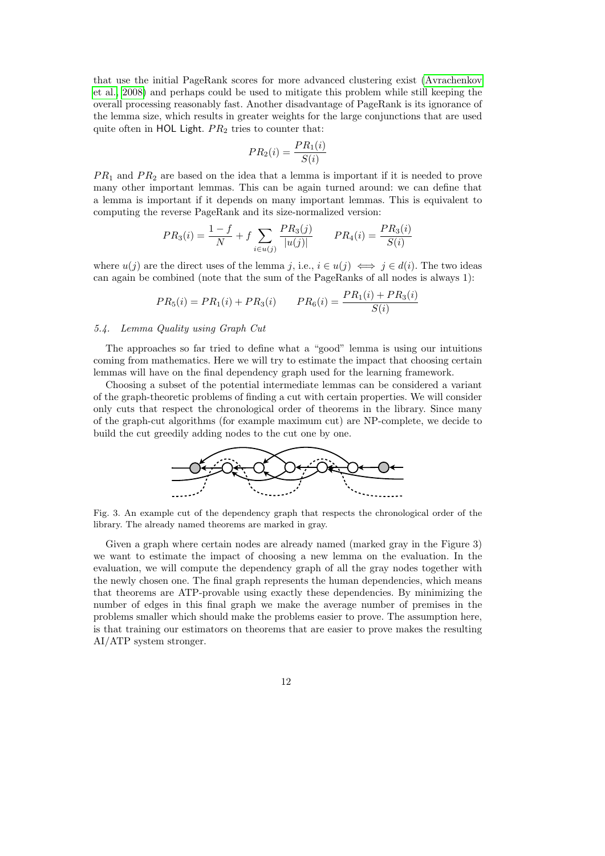that use the initial PageRank scores for more advanced clustering exist [\(Avrachenkov](#page-22-12) [et al., 2008\)](#page-22-12) and perhaps could be used to mitigate this problem while still keeping the overall processing reasonably fast. Another disadvantage of PageRank is its ignorance of the lemma size, which results in greater weights for the large conjunctions that are used quite often in HOL Light.  $PR_2$  tries to counter that:

$$
PR_2(i) = \frac{PR_1(i)}{S(i)}
$$

 $PR<sub>1</sub>$  and  $PR<sub>2</sub>$  are based on the idea that a lemma is important if it is needed to prove many other important lemmas. This can be again turned around: we can define that a lemma is important if it depends on many important lemmas. This is equivalent to computing the reverse PageRank and its size-normalized version:

$$
PR_3(i) = \frac{1 - f}{N} + f \sum_{i \in u(j)} \frac{PR_3(j)}{|u(j)|} \qquad PR_4(i) = \frac{PR_3(i)}{S(i)}
$$

where  $u(j)$  are the direct uses of the lemma j, i.e.,  $i \in u(j) \iff j \in d(i)$ . The two ideas can again be combined (note that the sum of the PageRanks of all nodes is always 1):

$$
PR_5(i) = PR_1(i) + PR_3(i) \qquad PR_6(i) = \frac{PR_1(i) + PR_3(i)}{S(i)}
$$

## 5.4. Lemma Quality using Graph Cut

The approaches so far tried to define what a "good" lemma is using our intuitions coming from mathematics. Here we will try to estimate the impact that choosing certain lemmas will have on the final dependency graph used for the learning framework.

Choosing a subset of the potential intermediate lemmas can be considered a variant of the graph-theoretic problems of finding a cut with certain properties. We will consider only cuts that respect the chronological order of theorems in the library. Since many of the graph-cut algorithms (for example maximum cut) are NP-complete, we decide to build the cut greedily adding nodes to the cut one by one.



Fig. 3. An example cut of the dependency graph that respects the chronological order of the library. The already named theorems are marked in gray.

Given a graph where certain nodes are already named (marked gray in the Figure 3) we want to estimate the impact of choosing a new lemma on the evaluation. In the evaluation, we will compute the dependency graph of all the gray nodes together with the newly chosen one. The final graph represents the human dependencies, which means that theorems are ATP-provable using exactly these dependencies. By minimizing the number of edges in this final graph we make the average number of premises in the problems smaller which should make the problems easier to prove. The assumption here, is that training our estimators on theorems that are easier to prove makes the resulting AI/ATP system stronger.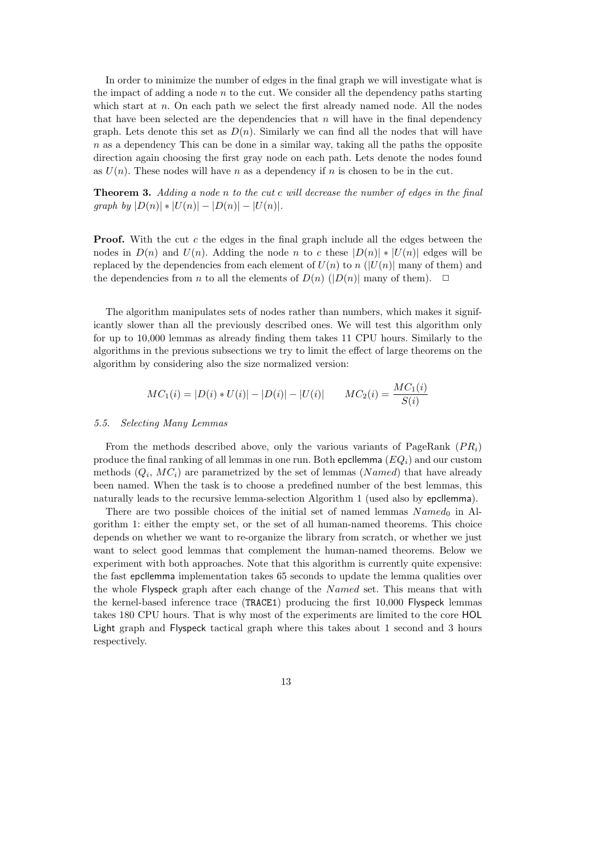In order to minimize the number of edges in the final graph we will investigate what is the impact of adding a node  $n$  to the cut. We consider all the dependency paths starting which start at n. On each path we select the first already named node. All the nodes that have been selected are the dependencies that  $n$  will have in the final dependency graph. Lets denote this set as  $D(n)$ . Similarly we can find all the nodes that will have  $n$  as a dependency This can be done in a similar way, taking all the paths the opposite direction again choosing the first gray node on each path. Lets denote the nodes found as  $U(n)$ . These nodes will have n as a dependency if n is chosen to be in the cut.

Theorem 3. Adding a node n to the cut c will decrease the number of edges in the final graph by  $|D(n)| * |U(n)| - |D(n)| - |U(n)|$ .

**Proof.** With the cut c the edges in the final graph include all the edges between the nodes in  $D(n)$  and  $U(n)$ . Adding the node n to c these  $|D(n)| * |U(n)|$  edges will be replaced by the dependencies from each element of  $U(n)$  to  $n$  ( $|U(n)|$  many of them) and the dependencies from n to all the elements of  $D(n)$  ( $|D(n)|$  many of them).  $\Box$ 

The algorithm manipulates sets of nodes rather than numbers, which makes it significantly slower than all the previously described ones. We will test this algorithm only for up to 10,000 lemmas as already finding them takes 11 CPU hours. Similarly to the algorithms in the previous subsections we try to limit the effect of large theorems on the algorithm by considering also the size normalized version:

$$
MC_1(i) = |D(i) * U(i)| - |D(i)| - |U(i)| \qquad MC_2(i) = \frac{MC_1(i)}{S(i)}
$$

## 5.5. Selecting Many Lemmas

From the methods described above, only the various variants of PageRank  $(P_{i})$ produce the final ranking of all lemmas in one run. Both epcllemma  $(EQ_i)$  and our custom methods  $(Q_i, MC_i)$  are parametrized by the set of lemmas (Named) that have already been named. When the task is to choose a predefined number of the best lemmas, this naturally leads to the recursive lemma-selection Algorithm 1 (used also by epcllemma).

There are two possible choices of the initial set of named lemmas  $Named<sub>0</sub>$  in Algorithm 1: either the empty set, or the set of all human-named theorems. This choice depends on whether we want to re-organize the library from scratch, or whether we just want to select good lemmas that complement the human-named theorems. Below we experiment with both approaches. Note that this algorithm is currently quite expensive: the fast epcllemma implementation takes 65 seconds to update the lemma qualities over the whole Flyspeck graph after each change of the Named set. This means that with the kernel-based inference trace (TRACE1) producing the first 10,000 Flyspeck lemmas takes 180 CPU hours. That is why most of the experiments are limited to the core HOL Light graph and Flyspeck tactical graph where this takes about 1 second and 3 hours respectively.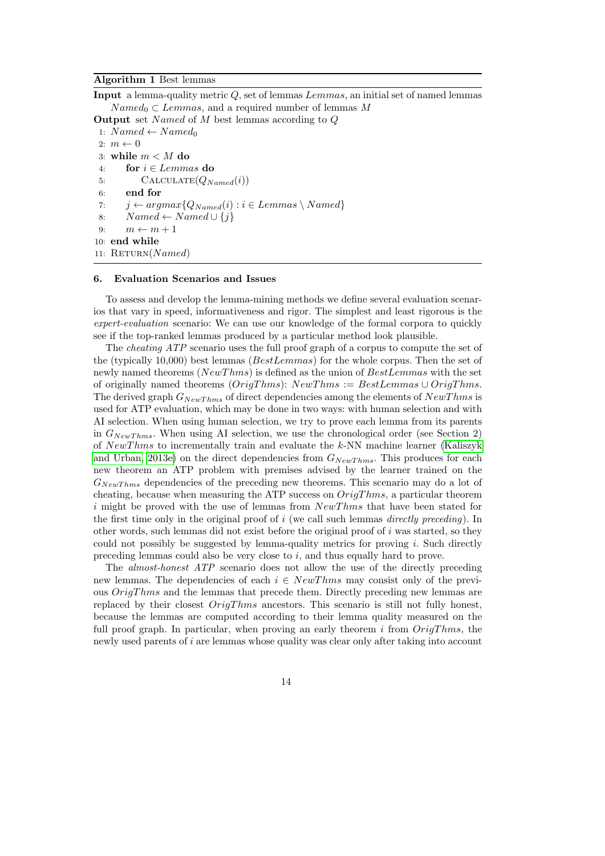## Algorithm 1 Best lemmas

Input a lemma-quality metric Q, set of lemmas Lemmas, an initial set of named lemmas  $Named_0 \subset Lemmas$ , and a required number of lemmas M

```
Output set Named of M best lemmas according to Q1: Named \leftarrow Named_02: m \leftarrow 03: while m < M do
 4: for i \in Lemmas do
 5: CALCULATE(Q_{Named}(i))6: end for
 7: j \leftarrow argmax\{Q_{Named}(i) : i \in Lemmas \setminus Named\}8: Named \leftarrow Named \cup \{j\}9: m \leftarrow m + 110: end while
11: RETURN(Named)
```
#### 6. Evaluation Scenarios and Issues

To assess and develop the lemma-mining methods we define several evaluation scenarios that vary in speed, informativeness and rigor. The simplest and least rigorous is the expert-evaluation scenario: We can use our knowledge of the formal corpora to quickly see if the top-ranked lemmas produced by a particular method look plausible.

The cheating ATP scenario uses the full proof graph of a corpus to compute the set of the (typically 10,000) best lemmas (BestLemmas) for the whole corpus. Then the set of newly named theorems (NewThms) is defined as the union of BestLemmas with the set of originally named theorems  $(OrigThms): NewThms := Best Lemmas \cup OriginThms$ . The derived graph  $G_{NewThms}$  of direct dependencies among the elements of  $NewThms$  is used for ATP evaluation, which may be done in two ways: with human selection and with AI selection. When using human selection, we try to prove each lemma from its parents in  $G_{NewThms}$ . When using AI selection, we use the chronological order (see Section 2) of  $NewThms$  to incrementally train and evaluate the  $k$ -NN machine learner [\(Kaliszyk](#page-22-8) [and Urban, 2013e\)](#page-22-8) on the direct dependencies from  $G_{NewThms}$ . This produces for each new theorem an ATP problem with premises advised by the learner trained on the  $G_{NewThms}$  dependencies of the preceding new theorems. This scenario may do a lot of cheating, because when measuring the ATP success on  $OrigThms$ , a particular theorem i might be proved with the use of lemmas from  $NewThms$  that have been stated for the first time only in the original proof of i (we call such lemmas *directly preceding*). In other words, such lemmas did not exist before the original proof of i was started, so they could not possibly be suggested by lemma-quality metrics for proving  $i$ . Such directly preceding lemmas could also be very close to  $i$ , and thus equally hard to prove.

The almost-honest ATP scenario does not allow the use of the directly preceding new lemmas. The dependencies of each  $i \in NewThms$  may consist only of the previous  $OriqThms$  and the lemmas that precede them. Directly preceding new lemmas are replaced by their closest  $OrigThms$  ancestors. This scenario is still not fully honest, because the lemmas are computed according to their lemma quality measured on the full proof graph. In particular, when proving an early theorem i from  $OriqThms$ , the newly used parents of i are lemmas whose quality was clear only after taking into account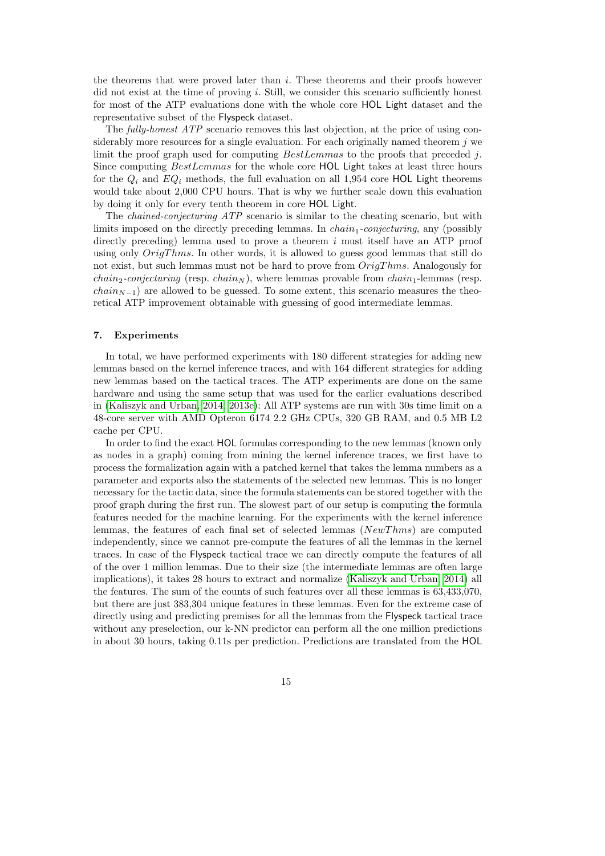the theorems that were proved later than  $i$ . These theorems and their proofs however did not exist at the time of proving  $i$ . Still, we consider this scenario sufficiently honest for most of the ATP evaluations done with the whole core HOL Light dataset and the representative subset of the Flyspeck dataset.

The fully-honest ATP scenario removes this last objection, at the price of using considerably more resources for a single evaluation. For each originally named theorem  $j$  we limit the proof graph used for computing  $BestLemmas$  to the proofs that preceded j. Since computing BestLemmas for the whole core HOL Light takes at least three hours for the  $Q_i$  and  $EQ_i$  methods, the full evaluation on all 1,954 core HOL Light theorems would take about 2,000 CPU hours. That is why we further scale down this evaluation by doing it only for every tenth theorem in core HOL Light.

The chained-conjecturing ATP scenario is similar to the cheating scenario, but with limits imposed on the directly preceding lemmas. In  $chain_1\text{-}conjecturing$ , any (possibly directly preceding) lemma used to prove a theorem  $i$  must itself have an ATP proof using only  $OriqThms$ . In other words, it is allowed to guess good lemmas that still do not exist, but such lemmas must not be hard to prove from  $OrigThms$ . Analogously for *chain<sub>2</sub>-conjecturing* (resp. *chain<sub>N</sub>*), where lemmas provable from *chain*<sub>1</sub>-lemmas (resp. *chain*<sub>N−1</sub>) are allowed to be guessed. To some extent, this scenario measures the theoretical ATP improvement obtainable with guessing of good intermediate lemmas.

#### 7. Experiments

In total, we have performed experiments with 180 different strategies for adding new lemmas based on the kernel inference traces, and with 164 different strategies for adding new lemmas based on the tactical traces. The ATP experiments are done on the same hardware and using the same setup that was used for the earlier evaluations described in [\(Kaliszyk and Urban, 2014,](#page-22-3) [2013e\)](#page-22-8): All ATP systems are run with 30s time limit on a 48-core server with AMD Opteron 6174 2.2 GHz CPUs, 320 GB RAM, and 0.5 MB L2 cache per CPU.

In order to find the exact HOL formulas corresponding to the new lemmas (known only as nodes in a graph) coming from mining the kernel inference traces, we first have to process the formalization again with a patched kernel that takes the lemma numbers as a parameter and exports also the statements of the selected new lemmas. This is no longer necessary for the tactic data, since the formula statements can be stored together with the proof graph during the first run. The slowest part of our setup is computing the formula features needed for the machine learning. For the experiments with the kernel inference lemmas, the features of each final set of selected lemmas  $(NewThms)$  are computed independently, since we cannot pre-compute the features of all the lemmas in the kernel traces. In case of the Flyspeck tactical trace we can directly compute the features of all of the over 1 million lemmas. Due to their size (the intermediate lemmas are often large implications), it takes 28 hours to extract and normalize [\(Kaliszyk and Urban, 2014\)](#page-22-3) all the features. The sum of the counts of such features over all these lemmas is 63,433,070, but there are just 383,304 unique features in these lemmas. Even for the extreme case of directly using and predicting premises for all the lemmas from the Flyspeck tactical trace without any preselection, our k-NN predictor can perform all the one million predictions in about 30 hours, taking 0.11s per prediction. Predictions are translated from the HOL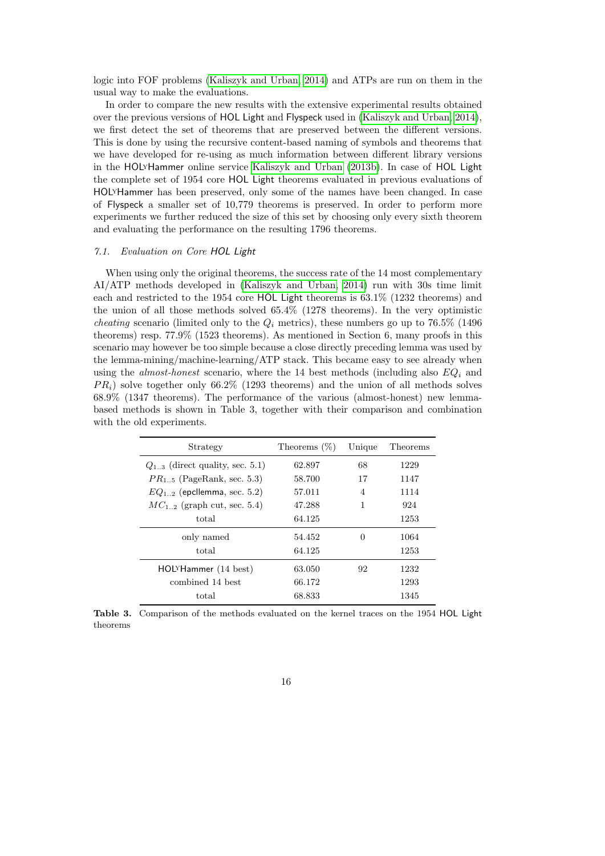logic into FOF problems [\(Kaliszyk and Urban, 2014\)](#page-22-3) and ATPs are run on them in the usual way to make the evaluations.

In order to compare the new results with the extensive experimental results obtained over the previous versions of HOL Light and Flyspeck used in [\(Kaliszyk and Urban, 2014\)](#page-22-3), we first detect the set of theorems that are preserved between the different versions. This is done by using the recursive content-based naming of symbols and theorems that we have developed for re-using as much information between different library versions in the HOLyHammer online service [Kaliszyk and Urban](#page-22-13) [\(2013b\)](#page-22-13). In case of HOL Light the complete set of 1954 core HOL Light theorems evaluated in previous evaluations of HOLyHammer has been preserved, only some of the names have been changed. In case of Flyspeck a smaller set of 10,779 theorems is preserved. In order to perform more experiments we further reduced the size of this set by choosing only every sixth theorem and evaluating the performance on the resulting 1796 theorems.

## 7.1. Evaluation on Core HOL Light

When using only the original theorems, the success rate of the 14 most complementary AI/ATP methods developed in [\(Kaliszyk and Urban, 2014\)](#page-22-3) run with 30s time limit each and restricted to the 1954 core HOL Light theorems is 63.1% (1232 theorems) and the union of all those methods solved 65.4% (1278 theorems). In the very optimistic *cheating* scenario (limited only to the  $Q_i$  metrics), these numbers go up to 76.5% (1496) theorems) resp. 77.9% (1523 theorems). As mentioned in Section 6, many proofs in this scenario may however be too simple because a close directly preceding lemma was used by the lemma-mining/machine-learning/ATP stack. This became easy to see already when using the *almost-honest* scenario, where the 14 best methods (including also  $EQ<sub>i</sub>$  and  $PR<sub>i</sub>$ ) solve together only 66.2% (1293 theorems) and the union of all methods solves 68.9% (1347 theorems). The performance of the various (almost-honest) new lemmabased methods is shown in Table 3, together with their comparison and combination with the old experiments.

| Strategy                            | Theorems $(\%)$ | Unique   | Theorems |
|-------------------------------------|-----------------|----------|----------|
| $Q_{13}$ (direct quality, sec. 5.1) | 62.897          | 68       | 1229     |
| $PR_{15}$ (PageRank, sec. 5.3)      | 58.700          | 17       | 1147     |
| $EQ_{1,2}$ (epcllemma, sec. 5.2)    | 57.011          | 4        | 1114     |
| $MC_{1,2}$ (graph cut, sec. 5.4)    | 47.288          | 1        | 924      |
| total                               | 64.125          |          | 1253     |
| only named                          | 54.452          | $\Omega$ | 1064     |
| total                               | 64.125          |          | 1253     |
| HOLYHammer (14 best)                | 63.050          | 92       | 1232     |
| combined 14 best                    | 66.172          |          | 1293     |
| total                               | 68.833          |          | 1345     |

Table 3. Comparison of the methods evaluated on the kernel traces on the 1954 HOL Light theorems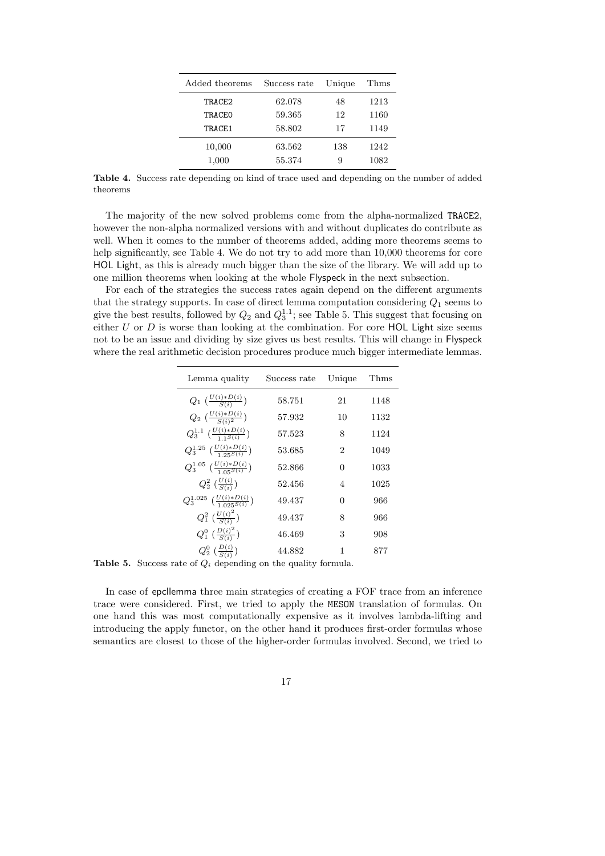| Added theorems | Success rate | Unique | Thms |
|----------------|--------------|--------|------|
| TRACE2         | 62.078       | 48     | 1213 |
| TRACEO         | 59.365       | 12     | 1160 |
| TRACE1         | 58.802       | 17     | 1149 |
| 10,000         | 63.562       | 138    | 1242 |
| 1,000          | 55.374       | 9      | 1082 |

Table 4. Success rate depending on kind of trace used and depending on the number of added theorems

The majority of the new solved problems come from the alpha-normalized TRACE2, however the non-alpha normalized versions with and without duplicates do contribute as well. When it comes to the number of theorems added, adding more theorems seems to help significantly, see Table 4. We do not try to add more than  $10,000$  theorems for core HOL Light, as this is already much bigger than the size of the library. We will add up to one million theorems when looking at the whole Flyspeck in the next subsection.

For each of the strategies the success rates again depend on the different arguments that the strategy supports. In case of direct lemma computation considering  $Q_1$  seems to give the best results, followed by  $Q_2$  and  $Q_3^{1.1}$ ; see Table 5. This suggest that focusing on either  $U$  or  $D$  is worse than looking at the combination. For core HOL Light size seems not to be an issue and dividing by size gives us best results. This will change in Flyspeck where the real arithmetic decision procedures produce much bigger intermediate lemmas.

| Success rate | Unique         | Thms                                                      |
|--------------|----------------|-----------------------------------------------------------|
| 58.751       | 21             | 1148                                                      |
| 57.932       | 10             | 1132                                                      |
| 57.523       | 8              | 1124                                                      |
| 53.685       | $\overline{2}$ | 1049                                                      |
| 52.866       | 0              | 1033                                                      |
| 52.456       | $\overline{4}$ | 1025                                                      |
| 49.437       | 0              | 966                                                       |
| 49.437       | 8              | 966                                                       |
| 46.469       | 3              | 908                                                       |
| 44.882       | 1              | 877                                                       |
|              |                | $\mathbf{1}$ , $\mathbf{1}$ , $\mathbf{1}$ , $\mathbf{1}$ |

**Table 5.** Success rate of  $Q_i$  depending on the quality formula.

In case of epcllemma three main strategies of creating a FOF trace from an inference trace were considered. First, we tried to apply the MESON translation of formulas. On one hand this was most computationally expensive as it involves lambda-lifting and introducing the apply functor, on the other hand it produces first-order formulas whose semantics are closest to those of the higher-order formulas involved. Second, we tried to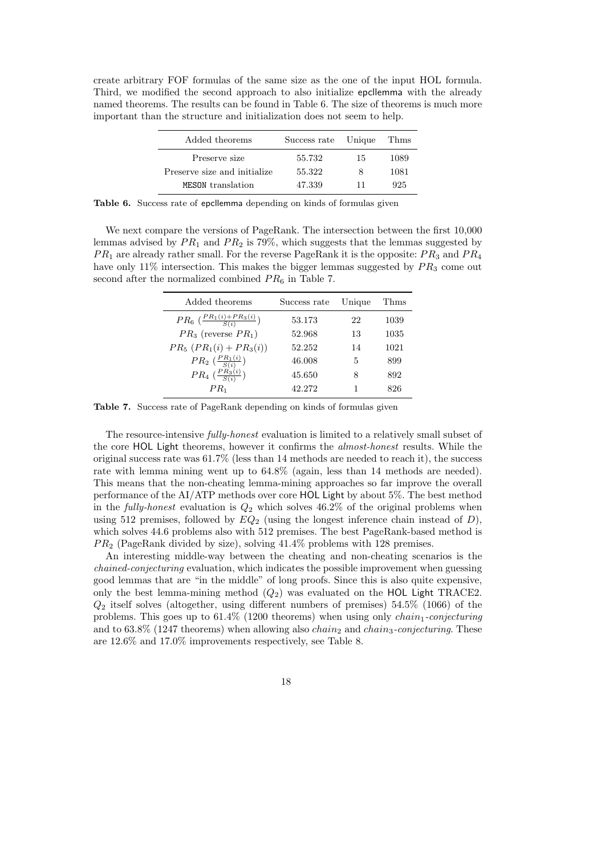create arbitrary FOF formulas of the same size as the one of the input HOL formula. Third, we modified the second approach to also initialize epcllemma with the already named theorems. The results can be found in Table 6. The size of theorems is much more important than the structure and initialization does not seem to help.

| Added theorems                | Success rate Unique |    | Thms |
|-------------------------------|---------------------|----|------|
| Preserve size                 | 55.732              | 15 | 1089 |
| Preserve size and initialize. | 55.322              | 8  | 1081 |
| MESON translation             | 47.339              | 11 | 925  |

Table 6. Success rate of epcllemma depending on kinds of formulas given

We next compare the versions of PageRank. The intersection between the first 10,000 lemmas advised by  $PR_1$  and  $PR_2$  is 79%, which suggests that the lemmas suggested by  $PR_1$  are already rather small. For the reverse PageRank it is the opposite:  $PR_3$  and  $PR_4$ have only 11% intersection. This makes the bigger lemmas suggested by  $PR_3$  come out second after the normalized combined  $PR<sub>6</sub>$  in Table 7.

| Added theorems                                    | Success rate | Unique | Thms |
|---------------------------------------------------|--------------|--------|------|
| $PR_6\left(\frac{PR_1(i) + PR_3(i)}{S(i)}\right)$ | 53.173       | 22     | 1039 |
| $PR_3$ (reverse $PR_1$ )                          | 52.968       | 13     | 1035 |
| $PR_5$ $(PR_1(i) + PR_3(i))$                      | 52.252       | 14     | 1021 |
| $PR_2\left(\frac{PR_1(i)}{S(i)}\right)$           | 46.008       | 5      | 899  |
| $PR_4\left(\frac{PR_3(i)}{S(i)}\right)$           | 45.650       | 8      | 892  |
| $PR_1$                                            | 42.272       |        | 826  |

Table 7. Success rate of PageRank depending on kinds of formulas given

The resource-intensive fully-honest evaluation is limited to a relatively small subset of the core HOL Light theorems, however it confirms the almost-honest results. While the original success rate was 61.7% (less than 14 methods are needed to reach it), the success rate with lemma mining went up to 64.8% (again, less than 14 methods are needed). This means that the non-cheating lemma-mining approaches so far improve the overall performance of the AI/ATP methods over core HOL Light by about 5%. The best method in the *fully-honest* evaluation is  $Q_2$  which solves 46.2% of the original problems when using 512 premises, followed by  $EQ_2$  (using the longest inference chain instead of D), which solves 44.6 problems also with 512 premises. The best PageRank-based method is  $PR<sub>2</sub>$  (PageRank divided by size), solving  $41.4\%$  problems with 128 premises.

An interesting middle-way between the cheating and non-cheating scenarios is the chained-conjecturing evaluation, which indicates the possible improvement when guessing good lemmas that are "in the middle" of long proofs. Since this is also quite expensive, only the best lemma-mining method  $(Q_2)$  was evaluated on the HOL Light TRACE2.  $Q_2$  itself solves (altogether, using different numbers of premises) 54.5% (1066) of the problems. This goes up to  $61.4\%$  (1200 theorems) when using only *chain<sub>1</sub>-conjecturing* and to  $63.8\%$  (1247 theorems) when allowing also *chain<sub>2</sub>* and *chain<sub>3</sub>-conjecturing*. These are 12.6% and 17.0% improvements respectively, see Table 8.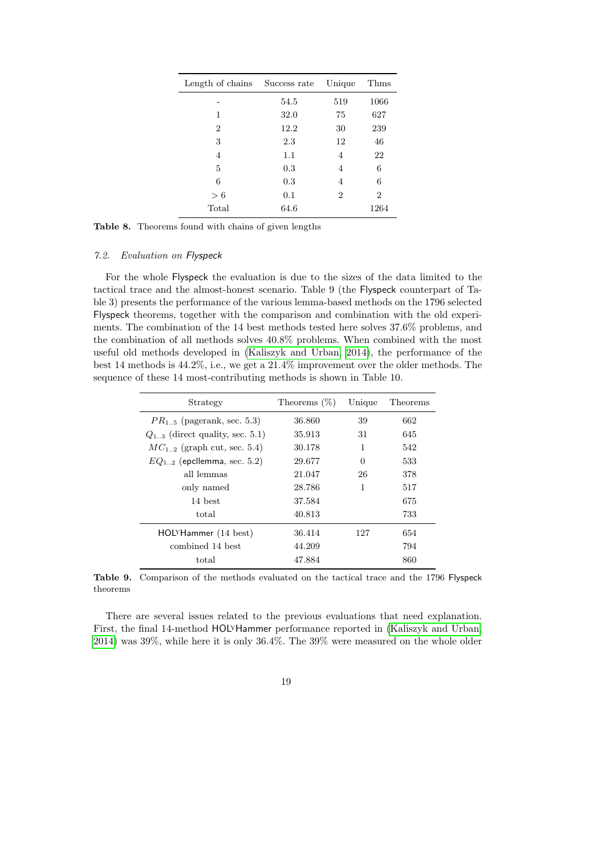| Length of chains Success rate |      | Unique | Thms |
|-------------------------------|------|--------|------|
|                               | 54.5 | 519    | 1066 |
| 1                             | 32.0 | 75     | 627  |
| $\overline{2}$                | 12.2 | 30     | 239  |
| 3                             | 2.3  | 12     | 46   |
| 4                             | 1.1  | 4      | 22   |
| 5                             | 0.3  | 4      | 6    |
| 6                             | 0.3  | 4      | 6    |
| > 6                           | 0.1  | 2      | 2    |
| Total                         | 64.6 |        | 1264 |

Table 8. Theorems found with chains of given lengths

## 7.2. Evaluation on Flyspeck

For the whole Flyspeck the evaluation is due to the sizes of the data limited to the tactical trace and the almost-honest scenario. Table 9 (the Flyspeck counterpart of Table 3) presents the performance of the various lemma-based methods on the 1796 selected Flyspeck theorems, together with the comparison and combination with the old experiments. The combination of the 14 best methods tested here solves 37.6% problems, and the combination of all methods solves 40.8% problems. When combined with the most useful old methods developed in [\(Kaliszyk and Urban, 2014\)](#page-22-3), the performance of the best 14 methods is 44.2%, i.e., we get a 21.4% improvement over the older methods. The sequence of these 14 most-contributing methods is shown in Table 10.

| Strategy                             | Theorems $(\%)$ | Unique | Theorems |
|--------------------------------------|-----------------|--------|----------|
| $PR_{1.5}$ (pagerank, sec. 5.3)      | 36.860          | 39     | 662      |
| $Q_{1,3}$ (direct quality, sec. 5.1) | 35.913          | 31     | 645      |
| $MC_{1,2}$ (graph cut, sec. 5.4)     | 30.178          | 1      | 542      |
| $EQ_{12}$ (epcllemma, sec. 5.2)      | 29.677          | 0      | 533      |
| all lemmas                           | 21.047          | 26     | 378      |
| only named                           | 28.786          | 1      | 517      |
| 14 best                              | 37.584          |        | 675      |
| total                                | 40.813          |        | 733      |
| HOLYHammer (14 best)                 | 36.414          | 127    | 654      |
| combined 14 best                     | 44.209          |        | 794      |
| total                                | 47.884          |        | 860      |

Table 9. Comparison of the methods evaluated on the tactical trace and the 1796 Flyspeck theorems

There are several issues related to the previous evaluations that need explanation. First, the final 14-method HOLyHammer performance reported in [\(Kaliszyk and Urban,](#page-22-3) [2014\)](#page-22-3) was 39%, while here it is only 36.4%. The 39% were measured on the whole older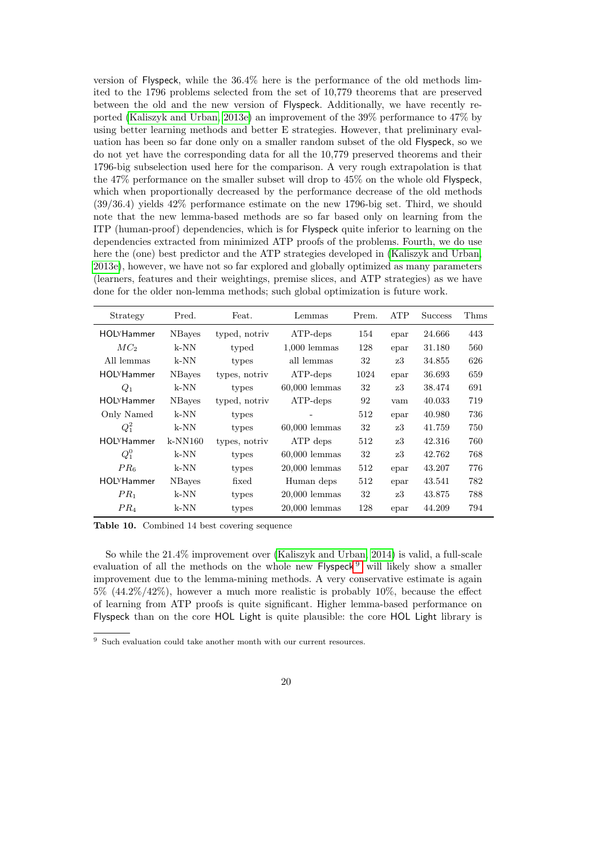version of Flyspeck, while the 36.4% here is the performance of the old methods limited to the 1796 problems selected from the set of 10,779 theorems that are preserved between the old and the new version of Flyspeck. Additionally, we have recently reported [\(Kaliszyk and Urban, 2013e\)](#page-22-8) an improvement of the 39% performance to 47% by using better learning methods and better E strategies. However, that preliminary evaluation has been so far done only on a smaller random subset of the old Flyspeck, so we do not yet have the corresponding data for all the 10,779 preserved theorems and their 1796-big subselection used here for the comparison. A very rough extrapolation is that the 47% performance on the smaller subset will drop to 45% on the whole old Flyspeck, which when proportionally decreased by the performance decrease of the old methods (39/36.4) yields 42% performance estimate on the new 1796-big set. Third, we should note that the new lemma-based methods are so far based only on learning from the ITP (human-proof) dependencies, which is for Flyspeck quite inferior to learning on the dependencies extracted from minimized ATP proofs of the problems. Fourth, we do use here the (one) best predictor and the ATP strategies developed in [\(Kaliszyk and Urban,](#page-22-8) [2013e\)](#page-22-8), however, we have not so far explored and globally optimized as many parameters (learners, features and their weightings, premise slices, and ATP strategies) as we have done for the older non-lemma methods; such global optimization is future work.

| Strategy          | Pred.          | Feat.         | Lemmas          | Prem. | <b>ATP</b> | <b>Success</b> | Thms |
|-------------------|----------------|---------------|-----------------|-------|------------|----------------|------|
| <b>HOLYHammer</b> | <b>NB</b> ayes | typed, notriv | $ATP$ -deps     | 154   | epar       | 24.666         | 443  |
| MC <sub>2</sub>   | k-NN           | typed         | $1,000$ lemmas  | 128   | epar       | 31.180         | 560  |
| All lemmas        | k-NN           | types         | all lemmas      | 32    | z3         | 34.855         | 626  |
| <b>HOLYHammer</b> | <b>NBayes</b>  | types, notriv | $ATP$ -deps     | 1024  | epar       | 36.693         | 659  |
| $Q_1$             | k-NN           | types         | $60,000$ lemmas | 32    | z3         | 38.474         | 691  |
| <b>HOLYHammer</b> | <b>N</b> Bayes | typed, notriv | $ATP$ -deps     | 92    | vam        | 40.033         | 719  |
| Only Named        | k-NN           | types         |                 | 512   | epar       | 40.980         | 736  |
| $Q_1^2$           | k-NN           | types         | $60,000$ lemmas | 32    | z3         | 41.759         | 750  |
| <b>HOLYHammer</b> | $k-NN160$      | types, notriv | ATP deps        | 512   | z3         | 42.316         | 760  |
| $Q_1^0$           | k-NN           | types         | $60,000$ lemmas | 32    | z3         | 42.762         | 768  |
| PR <sub>6</sub>   | k-NN           | types         | $20,000$ lemmas | 512   | epar       | 43.207         | 776  |
| <b>HOLYHammer</b> | <b>N</b> Bayes | fixed         | Human deps      | 512   | epar       | 43.541         | 782  |
| PR <sub>1</sub>   | k-NN           | types         | $20,000$ lemmas | 32    | z3         | 43.875         | 788  |
| PR <sub>4</sub>   | k-NN           | types         | $20,000$ lemmas | 128   | epar       | 44.209         | 794  |

Table 10. Combined 14 best covering sequence

So while the 21.4% improvement over [\(Kaliszyk and Urban, 2014\)](#page-22-3) is valid, a full-scale evaluation of all the methods on the whole new Flyspeck<sup>[9](#page-19-0)</sup> will likely show a smaller improvement due to the lemma-mining methods. A very conservative estimate is again  $5\%$   $(44.2\%/42\%)$ , however a much more realistic is probably 10%, because the effect of learning from ATP proofs is quite significant. Higher lemma-based performance on Flyspeck than on the core HOL Light is quite plausible: the core HOL Light library is

<span id="page-19-0"></span> $^9\,$  Such evaluation could take another month with our current resources.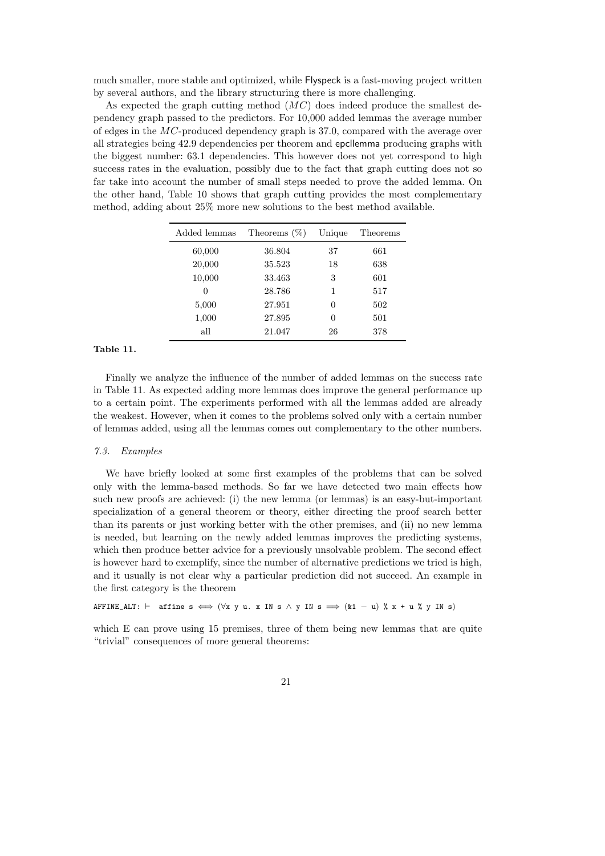much smaller, more stable and optimized, while Flyspeck is a fast-moving project written by several authors, and the library structuring there is more challenging.

As expected the graph cutting method  $(MC)$  does indeed produce the smallest dependency graph passed to the predictors. For 10,000 added lemmas the average number of edges in the MC-produced dependency graph is 37.0, compared with the average over all strategies being 42.9 dependencies per theorem and epcllemma producing graphs with the biggest number: 63.1 dependencies. This however does not yet correspond to high success rates in the evaluation, possibly due to the fact that graph cutting does not so far take into account the number of small steps needed to prove the added lemma. On the other hand, Table 10 shows that graph cutting provides the most complementary method, adding about 25% more new solutions to the best method available.

| Added lemmas | Theorems $(\%)$ | Unique | Theorems |
|--------------|-----------------|--------|----------|
| 60,000       | 36.804          | 37     | 661      |
| 20,000       | 35.523          | 18     | 638      |
| 10,000       | 33.463          | 3      | 601      |
| 0            | 28.786          | 1      | 517      |
| 5,000        | 27.951          | 0      | 502      |
| 1,000        | 27.895          | 0      | 501      |
| all          | 21.047          | 26     | 378      |

## Table 11.

Finally we analyze the influence of the number of added lemmas on the success rate in Table 11. As expected adding more lemmas does improve the general performance up to a certain point. The experiments performed with all the lemmas added are already the weakest. However, when it comes to the problems solved only with a certain number of lemmas added, using all the lemmas comes out complementary to the other numbers.

## 7.3. Examples

We have briefly looked at some first examples of the problems that can be solved only with the lemma-based methods. So far we have detected two main effects how such new proofs are achieved: (i) the new lemma (or lemmas) is an easy-but-important specialization of a general theorem or theory, either directing the proof search better than its parents or just working better with the other premises, and (ii) no new lemma is needed, but learning on the newly added lemmas improves the predicting systems, which then produce better advice for a previously unsolvable problem. The second effect is however hard to exemplify, since the number of alternative predictions we tried is high, and it usually is not clear why a particular prediction did not succeed. An example in the first category is the theorem

AFFINE\_ALT:  $\vdash$  affine s  $\Longleftrightarrow$   $(\forall x \ y \ u. \ x \ IN \ s \ \wedge \ y \ IN \ s \implies (k1 - u) \ \text{% } x + u \text{% } y \ IN \ s)$ 

which E can prove using 15 premises, three of them being new lemmas that are quite "trivial" consequences of more general theorems: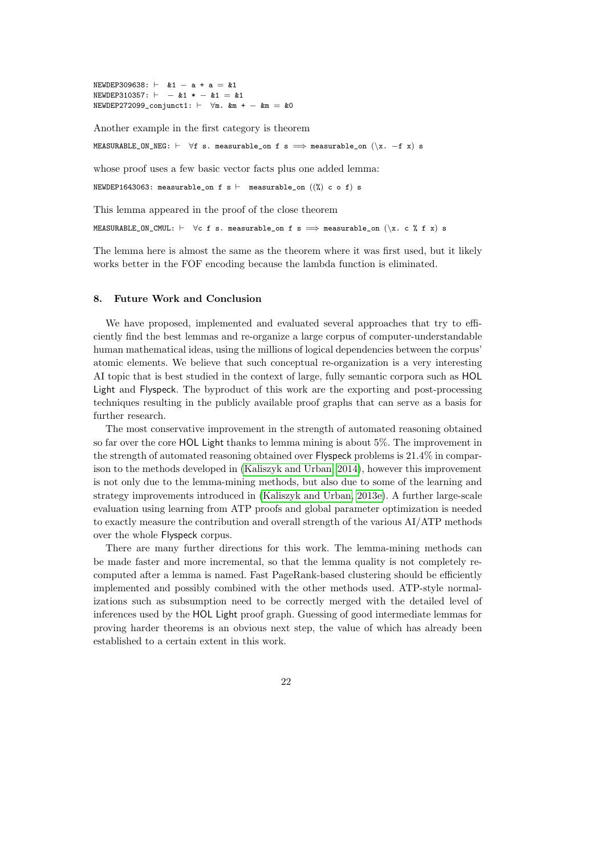$NEWDEP309638: \ \vdash \ \&1 - a + a = \&1$  $NEWDEP310357: \ \vdash -\&1 \ * -\&1 = \&1$  $NEWDEP272099\_conjunct1: \ \vdash \ \forall m. \ \& m + - \ \& m = \& 0$ 

Another example in the first category is theorem

MEASURABLE\_ON\_NEG:  $\vdash \forall f$  s. measurable\_on f s  $\implies$  measurable\_on  $(\x, -f \x)$  s

whose proof uses a few basic vector facts plus one added lemma:

NEWDEP1643063: measurable\_on f s  $\vdash$  measurable\_on  $((\%)$  c o f) s

This lemma appeared in the proof of the close theorem

MEASURABLE\_ON\_CMUL:  $\vdash$   $\forall$ c f s. measurable\_on f s  $\implies$  measurable\_on ( $\setminus x$ . c % f x) s

The lemma here is almost the same as the theorem where it was first used, but it likely works better in the FOF encoding because the lambda function is eliminated.

## 8. Future Work and Conclusion

We have proposed, implemented and evaluated several approaches that try to efficiently find the best lemmas and re-organize a large corpus of computer-understandable human mathematical ideas, using the millions of logical dependencies between the corpus' atomic elements. We believe that such conceptual re-organization is a very interesting AI topic that is best studied in the context of large, fully semantic corpora such as HOL Light and Flyspeck. The byproduct of this work are the exporting and post-processing techniques resulting in the publicly available proof graphs that can serve as a basis for further research.

The most conservative improvement in the strength of automated reasoning obtained so far over the core HOL Light thanks to lemma mining is about 5%. The improvement in the strength of automated reasoning obtained over Flyspeck problems is 21.4% in comparison to the methods developed in [\(Kaliszyk and Urban, 2014\)](#page-22-3), however this improvement is not only due to the lemma-mining methods, but also due to some of the learning and strategy improvements introduced in [\(Kaliszyk and Urban, 2013e\)](#page-22-8). A further large-scale evaluation using learning from ATP proofs and global parameter optimization is needed to exactly measure the contribution and overall strength of the various AI/ATP methods over the whole Flyspeck corpus.

There are many further directions for this work. The lemma-mining methods can be made faster and more incremental, so that the lemma quality is not completely recomputed after a lemma is named. Fast PageRank-based clustering should be efficiently implemented and possibly combined with the other methods used. ATP-style normalizations such as subsumption need to be correctly merged with the detailed level of inferences used by the HOL Light proof graph. Guessing of good intermediate lemmas for proving harder theorems is an obvious next step, the value of which has already been established to a certain extent in this work.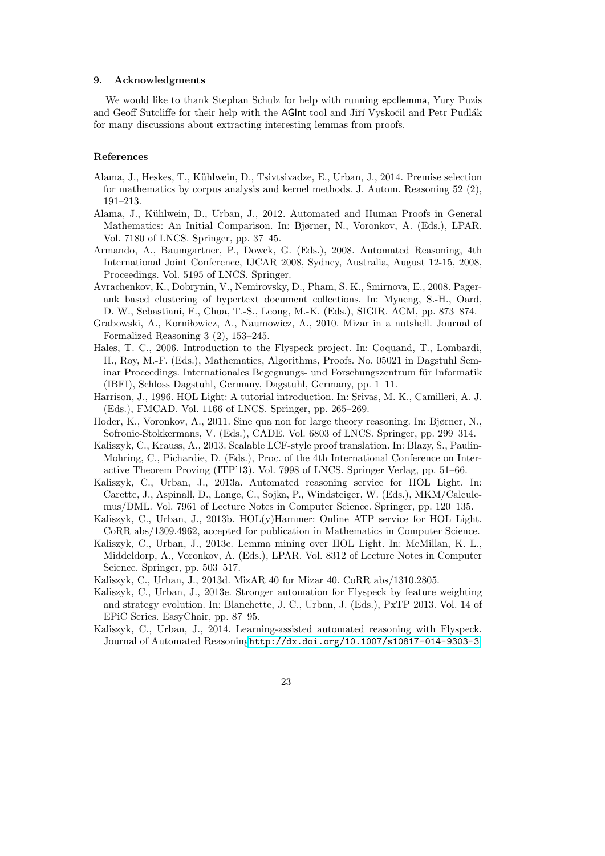#### 9. Acknowledgments

We would like to thank Stephan Schulz for help with running epcllemma, Yury Puzis and Geoff Sutcliffe for their help with the AGInt tool and Jiří Vyskočil and Petr Pudlák for many discussions about extracting interesting lemmas from proofs.

## References

- <span id="page-22-6"></span>Alama, J., Heskes, T., K¨uhlwein, D., Tsivtsivadze, E., Urban, J., 2014. Premise selection for mathematics by corpus analysis and kernel methods. J. Autom. Reasoning 52 (2), 191–213.
- <span id="page-22-11"></span>Alama, J., Kühlwein, D., Urban, J., 2012. Automated and Human Proofs in General Mathematics: An Initial Comparison. In: Bjørner, N., Voronkov, A. (Eds.), LPAR. Vol. 7180 of LNCS. Springer, pp. 37–45.
- <span id="page-22-14"></span>Armando, A., Baumgartner, P., Dowek, G. (Eds.), 2008. Automated Reasoning, 4th International Joint Conference, IJCAR 2008, Sydney, Australia, August 12-15, 2008, Proceedings. Vol. 5195 of LNCS. Springer.
- <span id="page-22-12"></span>Avrachenkov, K., Dobrynin, V., Nemirovsky, D., Pham, S. K., Smirnova, E., 2008. Pagerank based clustering of hypertext document collections. In: Myaeng, S.-H., Oard, D. W., Sebastiani, F., Chua, T.-S., Leong, M.-K. (Eds.), SIGIR. ACM, pp. 873–874.
- <span id="page-22-0"></span>Grabowski, A., Korniłowicz, A., Naumowicz, A., 2010. Mizar in a nutshell. Journal of Formalized Reasoning 3 (2), 153–245.
- <span id="page-22-2"></span>Hales, T. C., 2006. Introduction to the Flyspeck project. In: Coquand, T., Lombardi, H., Roy, M.-F. (Eds.), Mathematics, Algorithms, Proofs. No. 05021 in Dagstuhl Seminar Proceedings. Internationales Begegnungs- und Forschungszentrum für Informatik (IBFI), Schloss Dagstuhl, Germany, Dagstuhl, Germany, pp. 1–11.
- <span id="page-22-1"></span>Harrison, J., 1996. HOL Light: A tutorial introduction. In: Srivas, M. K., Camilleri, A. J. (Eds.), FMCAD. Vol. 1166 of LNCS. Springer, pp. 265–269.
- <span id="page-22-4"></span>Hoder, K., Voronkov, A., 2011. Sine qua non for large theory reasoning. In: Bjørner, N., Sofronie-Stokkermans, V. (Eds.), CADE. Vol. 6803 of LNCS. Springer, pp. 299–314.
- <span id="page-22-10"></span>Kaliszyk, C., Krauss, A., 2013. Scalable LCF-style proof translation. In: Blazy, S., Paulin-Mohring, C., Pichardie, D. (Eds.), Proc. of the 4th International Conference on Interactive Theorem Proving (ITP'13). Vol. 7998 of LNCS. Springer Verlag, pp. 51–66.
- <span id="page-22-7"></span>Kaliszyk, C., Urban, J., 2013a. Automated reasoning service for HOL Light. In: Carette, J., Aspinall, D., Lange, C., Sojka, P., Windsteiger, W. (Eds.), MKM/Calculemus/DML. Vol. 7961 of Lecture Notes in Computer Science. Springer, pp. 120–135.
- <span id="page-22-13"></span>Kaliszyk, C., Urban, J., 2013b. HOL(y)Hammer: Online ATP service for HOL Light. CoRR abs/1309.4962, accepted for publication in Mathematics in Computer Science.
- <span id="page-22-5"></span>Kaliszyk, C., Urban, J., 2013c. Lemma mining over HOL Light. In: McMillan, K. L., Middeldorp, A., Voronkov, A. (Eds.), LPAR. Vol. 8312 of Lecture Notes in Computer Science. Springer, pp. 503–517.
- <span id="page-22-9"></span>Kaliszyk, C., Urban, J., 2013d. MizAR 40 for Mizar 40. CoRR abs/1310.2805.
- <span id="page-22-8"></span>Kaliszyk, C., Urban, J., 2013e. Stronger automation for Flyspeck by feature weighting and strategy evolution. In: Blanchette, J. C., Urban, J. (Eds.), PxTP 2013. Vol. 14 of EPiC Series. EasyChair, pp. 87–95.
- <span id="page-22-3"></span>Kaliszyk, C., Urban, J., 2014. Learning-assisted automated reasoning with Flyspeck. Journal of Automated Reasoning<http://dx.doi.org/10.1007/s10817-014-9303-3>.
	- 23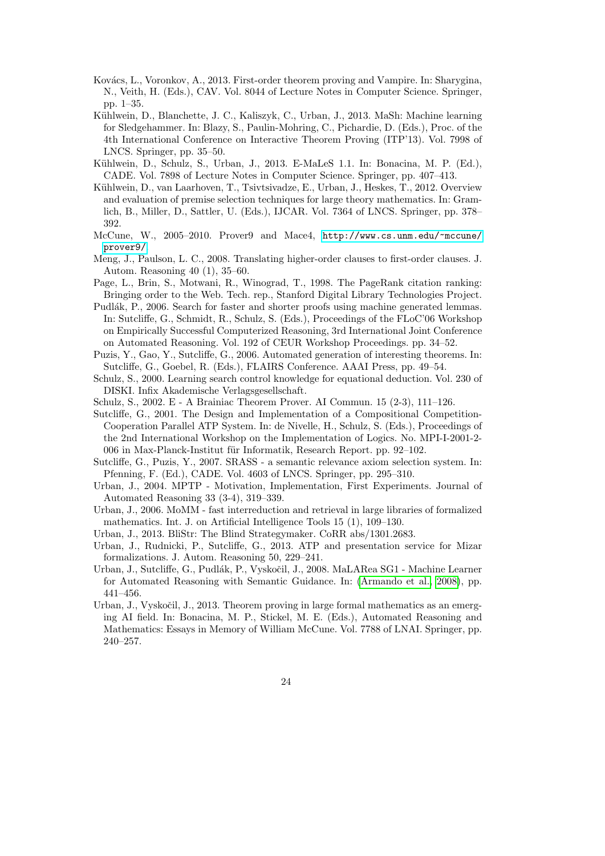- <span id="page-23-10"></span>Kovács, L., Voronkov, A., 2013. First-order theorem proving and Vampire. In: Sharygina, N., Veith, H. (Eds.), CAV. Vol. 8044 of Lecture Notes in Computer Science. Springer, pp. 1–35.
- <span id="page-23-6"></span>Kühlwein, D., Blanchette, J. C., Kaliszyk, C., Urban, J., 2013. MaSh: Machine learning for Sledgehammer. In: Blazy, S., Paulin-Mohring, C., Pichardie, D. (Eds.), Proc. of the 4th International Conference on Interactive Theorem Proving (ITP'13). Vol. 7998 of LNCS. Springer, pp. 35–50.
- <span id="page-23-4"></span>Kühlwein, D., Schulz, S., Urban, J., 2013. E-MaLeS 1.1. In: Bonacina, M. P. (Ed.), CADE. Vol. 7898 of Lecture Notes in Computer Science. Springer, pp. 407–413.
- <span id="page-23-2"></span>Kühlwein, D., van Laarhoven, T., Tsivtsivadze, E., Urban, J., Heskes, T., 2012. Overview and evaluation of premise selection techniques for large theory mathematics. In: Gramlich, B., Miller, D., Sattler, U. (Eds.), IJCAR. Vol. 7364 of LNCS. Springer, pp. 378– 392.
- <span id="page-23-12"></span>McCune, W., 2005–2010. Prover9 and Mace4, [http://www.cs.unm.edu/~mccune/](http://www.cs.unm.edu/~mccune/prover9/) [prover9/](http://www.cs.unm.edu/~mccune/prover9/).
- <span id="page-23-1"></span>Meng, J., Paulson, L. C., 2008. Translating higher-order clauses to first-order clauses. J. Autom. Reasoning 40 (1), 35–60.
- <span id="page-23-18"></span>Page, L., Brin, S., Motwani, R., Winograd, T., 1998. The PageRank citation ranking: Bringing order to the Web. Tech. rep., Stanford Digital Library Technologies Project.
- <span id="page-23-16"></span>Pudlák, P., 2006. Search for faster and shorter proofs using machine generated lemmas. In: Sutcliffe, G., Schmidt, R., Schulz, S. (Eds.), Proceedings of the FLoC'06 Workshop on Empirically Successful Computerized Reasoning, 3rd International Joint Conference on Automated Reasoning. Vol. 192 of CEUR Workshop Proceedings. pp. 34–52.
- <span id="page-23-15"></span>Puzis, Y., Gao, Y., Sutcliffe, G., 2006. Automated generation of interesting theorems. In: Sutcliffe, G., Goebel, R. (Eds.), FLAIRS Conference. AAAI Press, pp. 49–54.
- <span id="page-23-14"></span>Schulz, S., 2000. Learning search control knowledge for equational deduction. Vol. 230 of DISKI. Infix Akademische Verlagsgesellschaft.
- <span id="page-23-11"></span>Schulz, S., 2002. E - A Brainiac Theorem Prover. AI Commun. 15 (2-3), 111–126.
- <span id="page-23-17"></span>Sutcliffe, G., 2001. The Design and Implementation of a Compositional Competition-Cooperation Parallel ATP System. In: de Nivelle, H., Schulz, S. (Eds.), Proceedings of the 2nd International Workshop on the Implementation of Logics. No. MPI-I-2001-2- 006 in Max-Planck-Institut für Informatik, Research Report. pp. 92-102.
- <span id="page-23-13"></span>Sutcliffe, G., Puzis, Y., 2007. SRASS - a semantic relevance axiom selection system. In: Pfenning, F. (Ed.), CADE. Vol. 4603 of LNCS. Springer, pp. 295–310.
- <span id="page-23-0"></span>Urban, J., 2004. MPTP - Motivation, Implementation, First Experiments. Journal of Automated Reasoning 33 (3-4), 319–339.
- <span id="page-23-9"></span>Urban, J., 2006. MoMM - fast interreduction and retrieval in large libraries of formalized mathematics. Int. J. on Artificial Intelligence Tools 15 (1), 109–130.
- <span id="page-23-3"></span>Urban, J., 2013. BliStr: The Blind Strategymaker. CoRR abs/1301.2683.
- <span id="page-23-7"></span>Urban, J., Rudnicki, P., Sutcliffe, G., 2013. ATP and presentation service for Mizar formalizations. J. Autom. Reasoning 50, 229–241.
- <span id="page-23-8"></span>Urban, J., Sutcliffe, G., Pudlák, P., Vyskočil, J., 2008. MaLARea SG1 - Machine Learner for Automated Reasoning with Semantic Guidance. In: [\(Armando et al., 2008\)](#page-22-14), pp. 441–456.
- <span id="page-23-5"></span>Urban, J., Vyskočil, J., 2013. Theorem proving in large formal mathematics as an emerging AI field. In: Bonacina, M. P., Stickel, M. E. (Eds.), Automated Reasoning and Mathematics: Essays in Memory of William McCune. Vol. 7788 of LNAI. Springer, pp. 240–257.